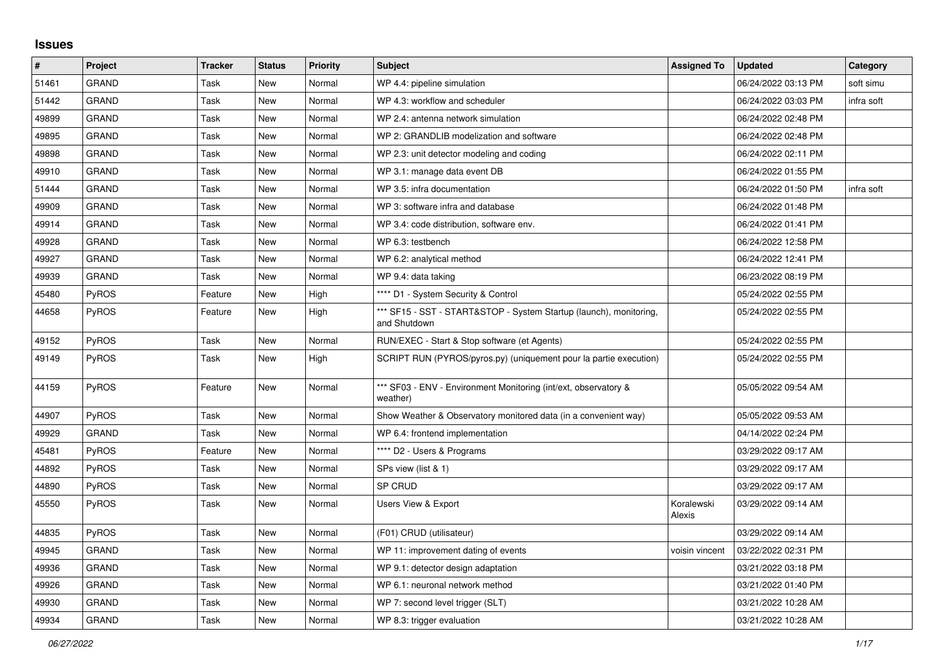## **Issues**

| $\vert$ # | Project      | <b>Tracker</b> | <b>Status</b> | <b>Priority</b> | <b>Subject</b>                                                                     | <b>Assigned To</b>   | <b>Updated</b>      | <b>Category</b> |
|-----------|--------------|----------------|---------------|-----------------|------------------------------------------------------------------------------------|----------------------|---------------------|-----------------|
| 51461     | <b>GRAND</b> | Task           | New           | Normal          | WP 4.4: pipeline simulation                                                        |                      | 06/24/2022 03:13 PM | soft simu       |
| 51442     | <b>GRAND</b> | Task           | <b>New</b>    | Normal          | WP 4.3: workflow and scheduler                                                     |                      | 06/24/2022 03:03 PM | infra soft      |
| 49899     | GRAND        | Task           | New           | Normal          | WP 2.4: antenna network simulation                                                 |                      | 06/24/2022 02:48 PM |                 |
| 49895     | GRAND        | Task           | New           | Normal          | WP 2: GRANDLIB modelization and software                                           |                      | 06/24/2022 02:48 PM |                 |
| 49898     | <b>GRAND</b> | Task           | <b>New</b>    | Normal          | WP 2.3: unit detector modeling and coding                                          |                      | 06/24/2022 02:11 PM |                 |
| 49910     | <b>GRAND</b> | Task           | <b>New</b>    | Normal          | WP 3.1: manage data event DB                                                       |                      | 06/24/2022 01:55 PM |                 |
| 51444     | <b>GRAND</b> | Task           | New           | Normal          | WP 3.5: infra documentation                                                        |                      | 06/24/2022 01:50 PM | infra soft      |
| 49909     | <b>GRAND</b> | Task           | <b>New</b>    | Normal          | WP 3: software infra and database                                                  |                      | 06/24/2022 01:48 PM |                 |
| 49914     | GRAND        | Task           | New           | Normal          | WP 3.4: code distribution, software env.                                           |                      | 06/24/2022 01:41 PM |                 |
| 49928     | GRAND        | Task           | New           | Normal          | WP 6.3: testbench                                                                  |                      | 06/24/2022 12:58 PM |                 |
| 49927     | <b>GRAND</b> | Task           | <b>New</b>    | Normal          | WP 6.2: analytical method                                                          |                      | 06/24/2022 12:41 PM |                 |
| 49939     | GRAND        | Task           | <b>New</b>    | Normal          | WP 9.4: data taking                                                                |                      | 06/23/2022 08:19 PM |                 |
| 45480     | <b>PyROS</b> | Feature        | New           | High            | **** D1 - System Security & Control                                                |                      | 05/24/2022 02:55 PM |                 |
| 44658     | <b>PyROS</b> | Feature        | <b>New</b>    | High            | *** SF15 - SST - START&STOP - System Startup (launch), monitoring,<br>and Shutdown |                      | 05/24/2022 02:55 PM |                 |
| 49152     | PyROS        | Task           | New           | Normal          | RUN/EXEC - Start & Stop software (et Agents)                                       |                      | 05/24/2022 02:55 PM |                 |
| 49149     | <b>PyROS</b> | Task           | New           | High            | SCRIPT RUN (PYROS/pyros.py) (uniquement pour la partie execution)                  |                      | 05/24/2022 02:55 PM |                 |
| 44159     | <b>PyROS</b> | Feature        | New           | Normal          | *** SF03 - ENV - Environment Monitoring (int/ext, observatory &<br>weather)        |                      | 05/05/2022 09:54 AM |                 |
| 44907     | PyROS        | Task           | New           | Normal          | Show Weather & Observatory monitored data (in a convenient way)                    |                      | 05/05/2022 09:53 AM |                 |
| 49929     | <b>GRAND</b> | Task           | <b>New</b>    | Normal          | WP 6.4: frontend implementation                                                    |                      | 04/14/2022 02:24 PM |                 |
| 45481     | PyROS        | Feature        | <b>New</b>    | Normal          | **** D2 - Users & Programs                                                         |                      | 03/29/2022 09:17 AM |                 |
| 44892     | PyROS        | Task           | New           | Normal          | SPs view (list & 1)                                                                |                      | 03/29/2022 09:17 AM |                 |
| 44890     | PyROS        | Task           | New           | Normal          | SP CRUD                                                                            |                      | 03/29/2022 09:17 AM |                 |
| 45550     | <b>PyROS</b> | Task           | <b>New</b>    | Normal          | Users View & Export                                                                | Koralewski<br>Alexis | 03/29/2022 09:14 AM |                 |
| 44835     | <b>PyROS</b> | Task           | New           | Normal          | (F01) CRUD (utilisateur)                                                           |                      | 03/29/2022 09:14 AM |                 |
| 49945     | <b>GRAND</b> | Task           | <b>New</b>    | Normal          | WP 11: improvement dating of events                                                | voisin vincent       | 03/22/2022 02:31 PM |                 |
| 49936     | <b>GRAND</b> | Task           | New           | Normal          | WP 9.1: detector design adaptation                                                 |                      | 03/21/2022 03:18 PM |                 |
| 49926     | <b>GRAND</b> | Task           | New           | Normal          | WP 6.1: neuronal network method                                                    |                      | 03/21/2022 01:40 PM |                 |
| 49930     | <b>GRAND</b> | Task           | New           | Normal          | WP 7: second level trigger (SLT)                                                   |                      | 03/21/2022 10:28 AM |                 |
| 49934     | <b>GRAND</b> | Task           | <b>New</b>    | Normal          | WP 8.3: trigger evaluation                                                         |                      | 03/21/2022 10:28 AM |                 |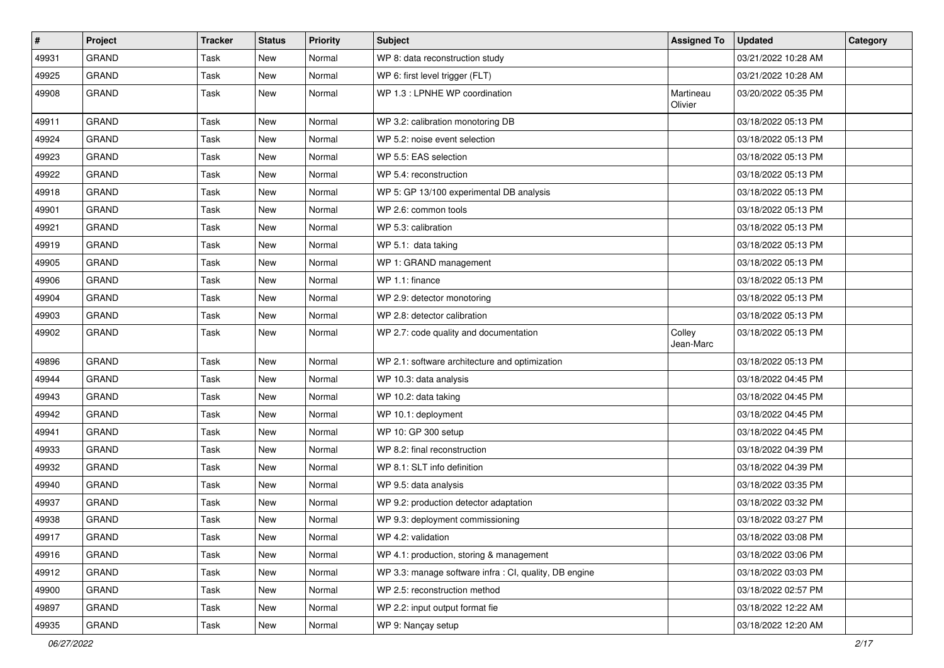| $\vert$ # | Project      | <b>Tracker</b> | <b>Status</b> | <b>Priority</b> | <b>Subject</b>                                         | <b>Assigned To</b>   | <b>Updated</b>      | Category |
|-----------|--------------|----------------|---------------|-----------------|--------------------------------------------------------|----------------------|---------------------|----------|
| 49931     | <b>GRAND</b> | Task           | <b>New</b>    | Normal          | WP 8: data reconstruction study                        |                      | 03/21/2022 10:28 AM |          |
| 49925     | <b>GRAND</b> | Task           | <b>New</b>    | Normal          | WP 6: first level trigger (FLT)                        |                      | 03/21/2022 10:28 AM |          |
| 49908     | <b>GRAND</b> | Task           | <b>New</b>    | Normal          | WP 1.3 : LPNHE WP coordination                         | Martineau<br>Olivier | 03/20/2022 05:35 PM |          |
| 49911     | <b>GRAND</b> | Task           | <b>New</b>    | Normal          | WP 3.2: calibration monotoring DB                      |                      | 03/18/2022 05:13 PM |          |
| 49924     | GRAND        | Task           | <b>New</b>    | Normal          | WP 5.2: noise event selection                          |                      | 03/18/2022 05:13 PM |          |
| 49923     | <b>GRAND</b> | Task           | <b>New</b>    | Normal          | WP 5.5: EAS selection                                  |                      | 03/18/2022 05:13 PM |          |
| 49922     | <b>GRAND</b> | Task           | New           | Normal          | WP 5.4: reconstruction                                 |                      | 03/18/2022 05:13 PM |          |
| 49918     | <b>GRAND</b> | Task           | <b>New</b>    | Normal          | WP 5: GP 13/100 experimental DB analysis               |                      | 03/18/2022 05:13 PM |          |
| 49901     | <b>GRAND</b> | Task           | New           | Normal          | WP 2.6: common tools                                   |                      | 03/18/2022 05:13 PM |          |
| 49921     | <b>GRAND</b> | Task           | <b>New</b>    | Normal          | WP 5.3: calibration                                    |                      | 03/18/2022 05:13 PM |          |
| 49919     | <b>GRAND</b> | Task           | <b>New</b>    | Normal          | WP 5.1: data taking                                    |                      | 03/18/2022 05:13 PM |          |
| 49905     | GRAND        | Task           | <b>New</b>    | Normal          | WP 1: GRAND management                                 |                      | 03/18/2022 05:13 PM |          |
| 49906     | <b>GRAND</b> | Task           | <b>New</b>    | Normal          | WP 1.1: finance                                        |                      | 03/18/2022 05:13 PM |          |
| 49904     | <b>GRAND</b> | Task           | <b>New</b>    | Normal          | WP 2.9: detector monotoring                            |                      | 03/18/2022 05:13 PM |          |
| 49903     | GRAND        | Task           | <b>New</b>    | Normal          | WP 2.8: detector calibration                           |                      | 03/18/2022 05:13 PM |          |
| 49902     | <b>GRAND</b> | Task           | New           | Normal          | WP 2.7: code quality and documentation                 | Colley<br>Jean-Marc  | 03/18/2022 05:13 PM |          |
| 49896     | <b>GRAND</b> | Task           | <b>New</b>    | Normal          | WP 2.1: software architecture and optimization         |                      | 03/18/2022 05:13 PM |          |
| 49944     | <b>GRAND</b> | Task           | <b>New</b>    | Normal          | WP 10.3: data analysis                                 |                      | 03/18/2022 04:45 PM |          |
| 49943     | GRAND        | Task           | New           | Normal          | WP 10.2: data taking                                   |                      | 03/18/2022 04:45 PM |          |
| 49942     | <b>GRAND</b> | Task           | <b>New</b>    | Normal          | WP 10.1: deployment                                    |                      | 03/18/2022 04:45 PM |          |
| 49941     | <b>GRAND</b> | Task           | New           | Normal          | WP 10: GP 300 setup                                    |                      | 03/18/2022 04:45 PM |          |
| 49933     | <b>GRAND</b> | Task           | <b>New</b>    | Normal          | WP 8.2: final reconstruction                           |                      | 03/18/2022 04:39 PM |          |
| 49932     | <b>GRAND</b> | Task           | New           | Normal          | WP 8.1: SLT info definition                            |                      | 03/18/2022 04:39 PM |          |
| 49940     | GRAND        | Task           | <b>New</b>    | Normal          | WP 9.5: data analysis                                  |                      | 03/18/2022 03:35 PM |          |
| 49937     | <b>GRAND</b> | Task           | <b>New</b>    | Normal          | WP 9.2: production detector adaptation                 |                      | 03/18/2022 03:32 PM |          |
| 49938     | <b>GRAND</b> | Task           | <b>New</b>    | Normal          | WP 9.3: deployment commissioning                       |                      | 03/18/2022 03:27 PM |          |
| 49917     | GRAND        | Task           | New           | Normal          | WP 4.2: validation                                     |                      | 03/18/2022 03:08 PM |          |
| 49916     | GRAND        | Task           | New           | Normal          | WP 4.1: production, storing & management               |                      | 03/18/2022 03:06 PM |          |
| 49912     | GRAND        | Task           | New           | Normal          | WP 3.3: manage software infra : CI, quality, DB engine |                      | 03/18/2022 03:03 PM |          |
| 49900     | GRAND        | Task           | New           | Normal          | WP 2.5: reconstruction method                          |                      | 03/18/2022 02:57 PM |          |
| 49897     | GRAND        | Task           | New           | Normal          | WP 2.2: input output format fie                        |                      | 03/18/2022 12:22 AM |          |
| 49935     | GRAND        | Task           | New           | Normal          | WP 9: Nançay setup                                     |                      | 03/18/2022 12:20 AM |          |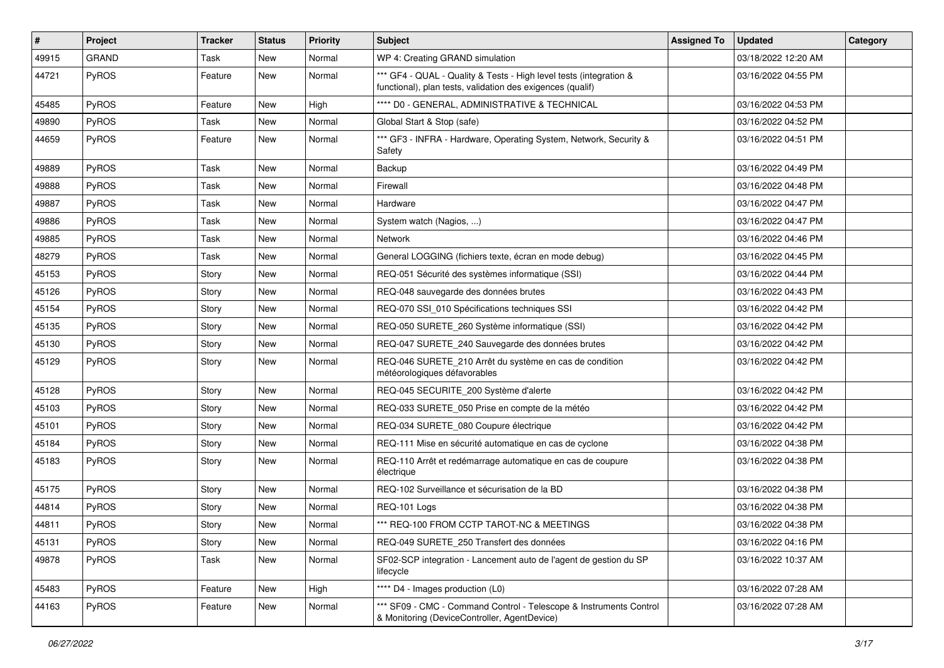| #     | Project      | <b>Tracker</b> | <b>Status</b> | <b>Priority</b> | Subject                                                                                                                          | <b>Assigned To</b> | <b>Updated</b>      | Category |
|-------|--------------|----------------|---------------|-----------------|----------------------------------------------------------------------------------------------------------------------------------|--------------------|---------------------|----------|
| 49915 | <b>GRAND</b> | Task           | New           | Normal          | WP 4: Creating GRAND simulation                                                                                                  |                    | 03/18/2022 12:20 AM |          |
| 44721 | PyROS        | Feature        | New           | Normal          | *** GF4 - QUAL - Quality & Tests - High level tests (integration &<br>functional), plan tests, validation des exigences (qualif) |                    | 03/16/2022 04:55 PM |          |
| 45485 | PyROS        | Feature        | New           | High            | **** D0 - GENERAL, ADMINISTRATIVE & TECHNICAL                                                                                    |                    | 03/16/2022 04:53 PM |          |
| 49890 | PyROS        | Task           | New           | Normal          | Global Start & Stop (safe)                                                                                                       |                    | 03/16/2022 04:52 PM |          |
| 44659 | PyROS        | Feature        | <b>New</b>    | Normal          | *** GF3 - INFRA - Hardware, Operating System, Network, Security &<br>Safety                                                      |                    | 03/16/2022 04:51 PM |          |
| 49889 | PyROS        | Task           | New           | Normal          | Backup                                                                                                                           |                    | 03/16/2022 04:49 PM |          |
| 49888 | PyROS        | Task           | <b>New</b>    | Normal          | Firewall                                                                                                                         |                    | 03/16/2022 04:48 PM |          |
| 49887 | PyROS        | Task           | New           | Normal          | Hardware                                                                                                                         |                    | 03/16/2022 04:47 PM |          |
| 49886 | PyROS        | Task           | <b>New</b>    | Normal          | System watch (Nagios, )                                                                                                          |                    | 03/16/2022 04:47 PM |          |
| 49885 | PyROS        | Task           | <b>New</b>    | Normal          | <b>Network</b>                                                                                                                   |                    | 03/16/2022 04:46 PM |          |
| 48279 | PyROS        | Task           | New           | Normal          | General LOGGING (fichiers texte, écran en mode debug)                                                                            |                    | 03/16/2022 04:45 PM |          |
| 45153 | PyROS        | Story          | <b>New</b>    | Normal          | REQ-051 Sécurité des systèmes informatique (SSI)                                                                                 |                    | 03/16/2022 04:44 PM |          |
| 45126 | PyROS        | Story          | <b>New</b>    | Normal          | REQ-048 sauvegarde des données brutes                                                                                            |                    | 03/16/2022 04:43 PM |          |
| 45154 | PyROS        | Story          | New           | Normal          | REQ-070 SSI 010 Spécifications techniques SSI                                                                                    |                    | 03/16/2022 04:42 PM |          |
| 45135 | PyROS        | Story          | <b>New</b>    | Normal          | REQ-050 SURETE_260 Système informatique (SSI)                                                                                    |                    | 03/16/2022 04:42 PM |          |
| 45130 | PyROS        | Story          | <b>New</b>    | Normal          | REQ-047 SURETE_240 Sauvegarde des données brutes                                                                                 |                    | 03/16/2022 04:42 PM |          |
| 45129 | PyROS        | Story          | <b>New</b>    | Normal          | REQ-046 SURETE_210 Arrêt du système en cas de condition<br>météorologiques défavorables                                          |                    | 03/16/2022 04:42 PM |          |
| 45128 | PyROS        | Story          | New           | Normal          | REQ-045 SECURITE_200 Système d'alerte                                                                                            |                    | 03/16/2022 04:42 PM |          |
| 45103 | PyROS        | Story          | <b>New</b>    | Normal          | REQ-033 SURETE_050 Prise en compte de la météo                                                                                   |                    | 03/16/2022 04:42 PM |          |
| 45101 | PyROS        | Story          | <b>New</b>    | Normal          | REQ-034 SURETE_080 Coupure électrique                                                                                            |                    | 03/16/2022 04:42 PM |          |
| 45184 | PyROS        | Story          | <b>New</b>    | Normal          | REQ-111 Mise en sécurité automatique en cas de cyclone                                                                           |                    | 03/16/2022 04:38 PM |          |
| 45183 | PyROS        | Story          | New           | Normal          | REQ-110 Arrêt et redémarrage automatique en cas de coupure<br>électrique                                                         |                    | 03/16/2022 04:38 PM |          |
| 45175 | PyROS        | Story          | New           | Normal          | REQ-102 Surveillance et sécurisation de la BD                                                                                    |                    | 03/16/2022 04:38 PM |          |
| 44814 | PyROS        | Story          | <b>New</b>    | Normal          | REQ-101 Logs                                                                                                                     |                    | 03/16/2022 04:38 PM |          |
| 44811 | PyROS        | Story          | New           | Normal          | *** REQ-100 FROM CCTP TAROT-NC & MEETINGS                                                                                        |                    | 03/16/2022 04:38 PM |          |
| 45131 | PyROS        | Story          | New           | Normal          | REQ-049 SURETE 250 Transfert des données                                                                                         |                    | 03/16/2022 04:16 PM |          |
| 49878 | PyROS        | Task           | New           | Normal          | SF02-SCP integration - Lancement auto de l'agent de gestion du SP<br>lifecycle                                                   |                    | 03/16/2022 10:37 AM |          |
| 45483 | PyROS        | Feature        | New           | High            | **** D4 - Images production (L0)                                                                                                 |                    | 03/16/2022 07:28 AM |          |
| 44163 | PyROS        | Feature        | New           | Normal          | *** SF09 - CMC - Command Control - Telescope & Instruments Control<br>& Monitoring (DeviceController, AgentDevice)               |                    | 03/16/2022 07:28 AM |          |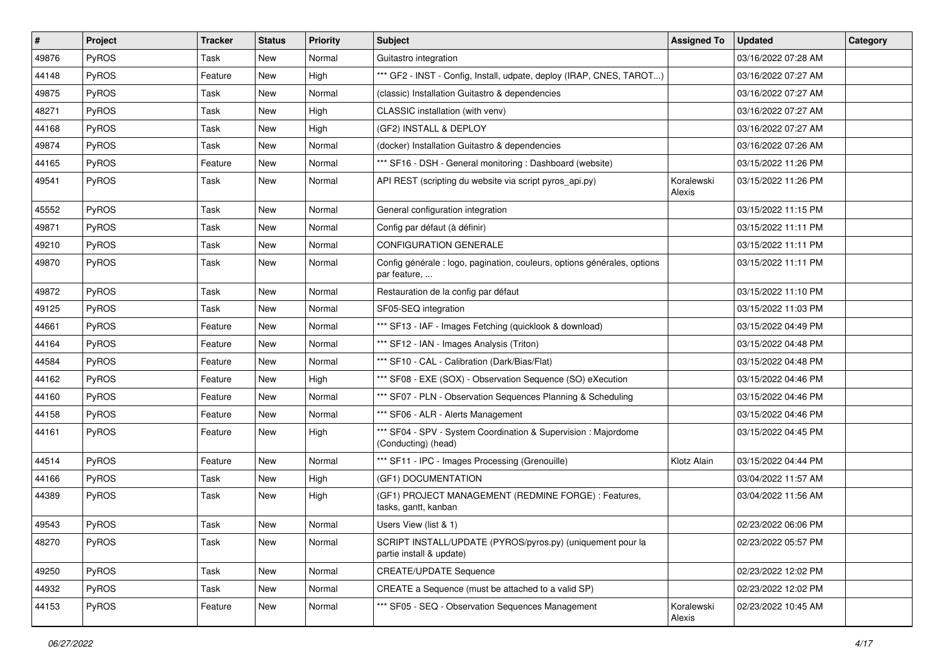| #     | Project      | <b>Tracker</b> | <b>Status</b> | <b>Priority</b> | <b>Subject</b>                                                                           | <b>Assigned To</b>   | <b>Updated</b>      | Category |
|-------|--------------|----------------|---------------|-----------------|------------------------------------------------------------------------------------------|----------------------|---------------------|----------|
| 49876 | <b>PyROS</b> | Task           | New           | Normal          | Guitastro integration                                                                    |                      | 03/16/2022 07:28 AM |          |
| 44148 | PyROS        | Feature        | <b>New</b>    | High            | *** GF2 - INST - Config, Install, udpate, deploy (IRAP, CNES, TAROT)                     |                      | 03/16/2022 07:27 AM |          |
| 49875 | PyROS        | Task           | <b>New</b>    | Normal          | (classic) Installation Guitastro & dependencies                                          |                      | 03/16/2022 07:27 AM |          |
| 48271 | PyROS        | Task           | <b>New</b>    | High            | CLASSIC installation (with venv)                                                         |                      | 03/16/2022 07:27 AM |          |
| 44168 | PyROS        | Task           | New           | High            | (GF2) INSTALL & DEPLOY                                                                   |                      | 03/16/2022 07:27 AM |          |
| 49874 | PyROS        | Task           | New           | Normal          | (docker) Installation Guitastro & dependencies                                           |                      | 03/16/2022 07:26 AM |          |
| 44165 | PyROS        | Feature        | <b>New</b>    | Normal          | *** SF16 - DSH - General monitoring : Dashboard (website)                                |                      | 03/15/2022 11:26 PM |          |
| 49541 | PyROS        | Task           | New           | Normal          | API REST (scripting du website via script pyros_api.py)                                  | Koralewski<br>Alexis | 03/15/2022 11:26 PM |          |
| 45552 | PyROS        | Task           | <b>New</b>    | Normal          | General configuration integration                                                        |                      | 03/15/2022 11:15 PM |          |
| 49871 | PyROS        | Task           | <b>New</b>    | Normal          | Config par défaut (à définir)                                                            |                      | 03/15/2022 11:11 PM |          |
| 49210 | PyROS        | Task           | New           | Normal          | <b>CONFIGURATION GENERALE</b>                                                            |                      | 03/15/2022 11:11 PM |          |
| 49870 | PyROS        | Task           | New           | Normal          | Config générale : logo, pagination, couleurs, options générales, options<br>par feature, |                      | 03/15/2022 11:11 PM |          |
| 49872 | PyROS        | Task           | New           | Normal          | Restauration de la config par défaut                                                     |                      | 03/15/2022 11:10 PM |          |
| 49125 | PyROS        | Task           | New           | Normal          | SF05-SEQ integration                                                                     |                      | 03/15/2022 11:03 PM |          |
| 44661 | PyROS        | Feature        | <b>New</b>    | Normal          | *** SF13 - IAF - Images Fetching (quicklook & download)                                  |                      | 03/15/2022 04:49 PM |          |
| 44164 | PyROS        | Feature        | New           | Normal          | *** SF12 - IAN - Images Analysis (Triton)                                                |                      | 03/15/2022 04:48 PM |          |
| 44584 | PyROS        | Feature        | New           | Normal          | *** SF10 - CAL - Calibration (Dark/Bias/Flat)                                            |                      | 03/15/2022 04:48 PM |          |
| 44162 | PyROS        | Feature        | <b>New</b>    | High            | *** SF08 - EXE (SOX) - Observation Sequence (SO) eXecution                               |                      | 03/15/2022 04:46 PM |          |
| 44160 | PyROS        | Feature        | <b>New</b>    | Normal          | *** SF07 - PLN - Observation Sequences Planning & Scheduling                             |                      | 03/15/2022 04:46 PM |          |
| 44158 | PyROS        | Feature        | <b>New</b>    | Normal          | *** SF06 - ALR - Alerts Management                                                       |                      | 03/15/2022 04:46 PM |          |
| 44161 | PyROS        | Feature        | New           | High            | *** SF04 - SPV - System Coordination & Supervision : Majordome<br>(Conducting) (head)    |                      | 03/15/2022 04:45 PM |          |
| 44514 | PyROS        | Feature        | New           | Normal          | *** SF11 - IPC - Images Processing (Grenouille)                                          | Klotz Alain          | 03/15/2022 04:44 PM |          |
| 44166 | PyROS        | Task           | New           | High            | (GF1) DOCUMENTATION                                                                      |                      | 03/04/2022 11:57 AM |          |
| 44389 | PyROS        | Task           | New           | High            | (GF1) PROJECT MANAGEMENT (REDMINE FORGE) : Features,<br>tasks, gantt, kanban             |                      | 03/04/2022 11:56 AM |          |
| 49543 | PyROS        | Task           | New           | Normal          | Users View (list & 1)                                                                    |                      | 02/23/2022 06:06 PM |          |
| 48270 | PyROS        | Task           | New           | Normal          | SCRIPT INSTALL/UPDATE (PYROS/pyros.py) (uniquement pour la<br>partie install & update)   |                      | 02/23/2022 05:57 PM |          |
| 49250 | PyROS        | Task           | New           | Normal          | <b>CREATE/UPDATE Sequence</b>                                                            |                      | 02/23/2022 12:02 PM |          |
| 44932 | PyROS        | Task           | New           | Normal          | CREATE a Sequence (must be attached to a valid SP)                                       |                      | 02/23/2022 12:02 PM |          |
| 44153 | PyROS        | Feature        | New           | Normal          | *** SF05 - SEQ - Observation Sequences Management                                        | Koralewski<br>Alexis | 02/23/2022 10:45 AM |          |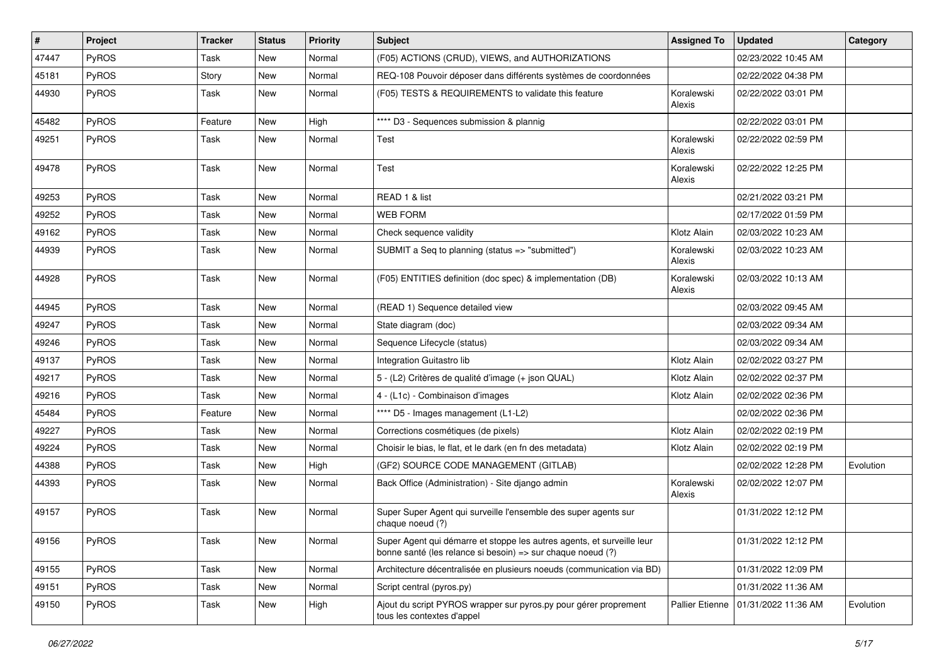| $\vert$ # | Project      | <b>Tracker</b> | <b>Status</b> | <b>Priority</b> | <b>Subject</b>                                                                                                                        | <b>Assigned To</b>     | <b>Updated</b>      | Category  |
|-----------|--------------|----------------|---------------|-----------------|---------------------------------------------------------------------------------------------------------------------------------------|------------------------|---------------------|-----------|
| 47447     | <b>PyROS</b> | Task           | New           | Normal          | (F05) ACTIONS (CRUD), VIEWS, and AUTHORIZATIONS                                                                                       |                        | 02/23/2022 10:45 AM |           |
| 45181     | PyROS        | Story          | New           | Normal          | REQ-108 Pouvoir déposer dans différents systèmes de coordonnées                                                                       |                        | 02/22/2022 04:38 PM |           |
| 44930     | PyROS        | Task           | New           | Normal          | (F05) TESTS & REQUIREMENTS to validate this feature                                                                                   | Koralewski<br>Alexis   | 02/22/2022 03:01 PM |           |
| 45482     | PyROS        | Feature        | New           | High            | **** D3 - Sequences submission & plannig                                                                                              |                        | 02/22/2022 03:01 PM |           |
| 49251     | PyROS        | Task           | New           | Normal          | Test                                                                                                                                  | Koralewski<br>Alexis   | 02/22/2022 02:59 PM |           |
| 49478     | PyROS        | Task           | New           | Normal          | Test                                                                                                                                  | Koralewski<br>Alexis   | 02/22/2022 12:25 PM |           |
| 49253     | PyROS        | Task           | New           | Normal          | READ 1 & list                                                                                                                         |                        | 02/21/2022 03:21 PM |           |
| 49252     | PyROS        | Task           | New           | Normal          | <b>WEB FORM</b>                                                                                                                       |                        | 02/17/2022 01:59 PM |           |
| 49162     | PyROS        | Task           | New           | Normal          | Check sequence validity                                                                                                               | Klotz Alain            | 02/03/2022 10:23 AM |           |
| 44939     | PyROS        | Task           | New           | Normal          | SUBMIT a Seq to planning (status => "submitted")                                                                                      | Koralewski<br>Alexis   | 02/03/2022 10:23 AM |           |
| 44928     | PyROS        | Task           | New           | Normal          | (F05) ENTITIES definition (doc spec) & implementation (DB)                                                                            | Koralewski<br>Alexis   | 02/03/2022 10:13 AM |           |
| 44945     | PyROS        | Task           | New           | Normal          | (READ 1) Sequence detailed view                                                                                                       |                        | 02/03/2022 09:45 AM |           |
| 49247     | PyROS        | Task           | <b>New</b>    | Normal          | State diagram (doc)                                                                                                                   |                        | 02/03/2022 09:34 AM |           |
| 49246     | PyROS        | Task           | New           | Normal          | Sequence Lifecycle (status)                                                                                                           |                        | 02/03/2022 09:34 AM |           |
| 49137     | PyROS        | Task           | New           | Normal          | Integration Guitastro lib                                                                                                             | Klotz Alain            | 02/02/2022 03:27 PM |           |
| 49217     | <b>PyROS</b> | Task           | <b>New</b>    | Normal          | 5 - (L2) Critères de qualité d'image (+ json QUAL)                                                                                    | Klotz Alain            | 02/02/2022 02:37 PM |           |
| 49216     | <b>PyROS</b> | Task           | New           | Normal          | 4 - (L1c) - Combinaison d'images                                                                                                      | Klotz Alain            | 02/02/2022 02:36 PM |           |
| 45484     | PyROS        | Feature        | New           | Normal          | **** D5 - Images management (L1-L2)                                                                                                   |                        | 02/02/2022 02:36 PM |           |
| 49227     | PyROS        | Task           | New           | Normal          | Corrections cosmétiques (de pixels)                                                                                                   | Klotz Alain            | 02/02/2022 02:19 PM |           |
| 49224     | PyROS        | Task           | New           | Normal          | Choisir le bias, le flat, et le dark (en fn des metadata)                                                                             | Klotz Alain            | 02/02/2022 02:19 PM |           |
| 44388     | PyROS        | Task           | New           | High            | (GF2) SOURCE CODE MANAGEMENT (GITLAB)                                                                                                 |                        | 02/02/2022 12:28 PM | Evolution |
| 44393     | <b>PyROS</b> | Task           | New           | Normal          | Back Office (Administration) - Site django admin                                                                                      | Koralewski<br>Alexis   | 02/02/2022 12:07 PM |           |
| 49157     | PyROS        | Task           | New           | Normal          | Super Super Agent qui surveille l'ensemble des super agents sur<br>chaque noeud (?)                                                   |                        | 01/31/2022 12:12 PM |           |
| 49156     | PyROS        | Task           | New           | Normal          | Super Agent qui démarre et stoppe les autres agents, et surveille leur<br>bonne santé (les relance si besoin) => sur chaque noeud (?) |                        | 01/31/2022 12:12 PM |           |
| 49155     | PyROS        | Task           | New           | Normal          | Architecture décentralisée en plusieurs noeuds (communication via BD)                                                                 |                        | 01/31/2022 12:09 PM |           |
| 49151     | PyROS        | Task           | New           | Normal          | Script central (pyros.py)                                                                                                             |                        | 01/31/2022 11:36 AM |           |
| 49150     | PyROS        | Task           | New           | High            | Ajout du script PYROS wrapper sur pyros.py pour gérer proprement<br>tous les contextes d'appel                                        | <b>Pallier Etienne</b> | 01/31/2022 11:36 AM | Evolution |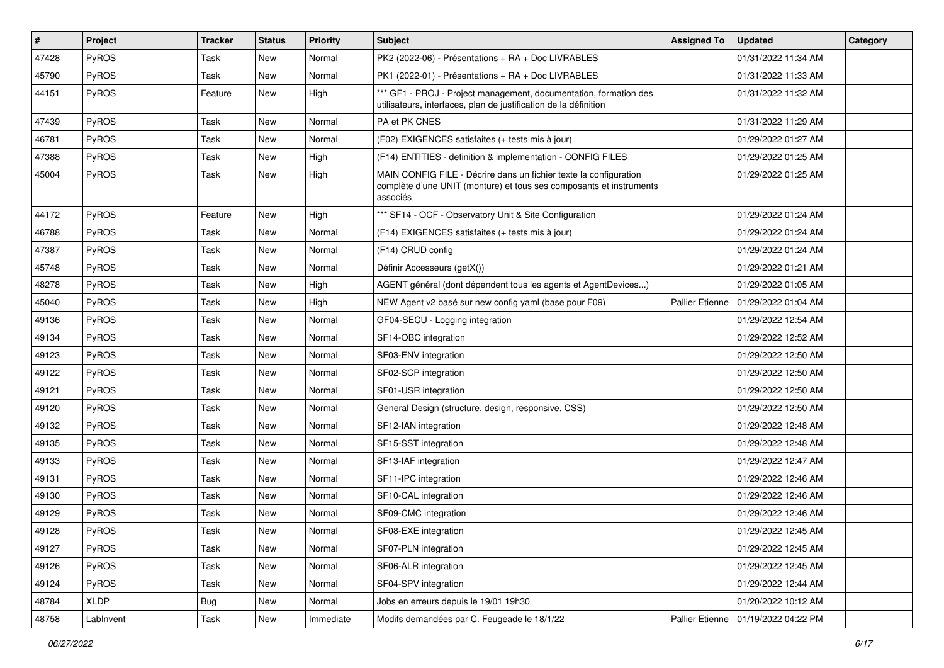| #     | Project      | <b>Tracker</b> | <b>Status</b> | <b>Priority</b> | <b>Subject</b>                                                                                                                                       | <b>Assigned To</b>     | <b>Updated</b>      | Category |
|-------|--------------|----------------|---------------|-----------------|------------------------------------------------------------------------------------------------------------------------------------------------------|------------------------|---------------------|----------|
| 47428 | PyROS        | Task           | New           | Normal          | PK2 (2022-06) - Présentations + RA + Doc LIVRABLES                                                                                                   |                        | 01/31/2022 11:34 AM |          |
| 45790 | <b>PyROS</b> | Task           | <b>New</b>    | Normal          | PK1 (2022-01) - Présentations + RA + Doc LIVRABLES                                                                                                   |                        | 01/31/2022 11:33 AM |          |
| 44151 | PyROS        | Feature        | New           | High            | *** GF1 - PROJ - Project management, documentation, formation des<br>utilisateurs, interfaces, plan de justification de la définition                |                        | 01/31/2022 11:32 AM |          |
| 47439 | PyROS        | Task           | <b>New</b>    | Normal          | PA et PK CNES                                                                                                                                        |                        | 01/31/2022 11:29 AM |          |
| 46781 | PyROS        | Task           | <b>New</b>    | Normal          | (F02) EXIGENCES satisfaites (+ tests mis à jour)                                                                                                     |                        | 01/29/2022 01:27 AM |          |
| 47388 | PyROS        | Task           | <b>New</b>    | High            | (F14) ENTITIES - definition & implementation - CONFIG FILES                                                                                          |                        | 01/29/2022 01:25 AM |          |
| 45004 | PyROS        | Task           | New           | High            | MAIN CONFIG FILE - Décrire dans un fichier texte la configuration<br>complète d'une UNIT (monture) et tous ses composants et instruments<br>associés |                        | 01/29/2022 01:25 AM |          |
| 44172 | PyROS        | Feature        | New           | High            | *** SF14 - OCF - Observatory Unit & Site Configuration                                                                                               |                        | 01/29/2022 01:24 AM |          |
| 46788 | PyROS        | Task           | <b>New</b>    | Normal          | (F14) EXIGENCES satisfaites (+ tests mis à jour)                                                                                                     |                        | 01/29/2022 01:24 AM |          |
| 47387 | PyROS        | Task           | <b>New</b>    | Normal          | (F14) CRUD config                                                                                                                                    |                        | 01/29/2022 01:24 AM |          |
| 45748 | PyROS        | Task           | <b>New</b>    | Normal          | Définir Accesseurs (getX())                                                                                                                          |                        | 01/29/2022 01:21 AM |          |
| 48278 | PyROS        | Task           | <b>New</b>    | High            | AGENT général (dont dépendent tous les agents et AgentDevices)                                                                                       |                        | 01/29/2022 01:05 AM |          |
| 45040 | PyROS        | Task           | New           | High            | NEW Agent v2 basé sur new config yaml (base pour F09)                                                                                                | <b>Pallier Etienne</b> | 01/29/2022 01:04 AM |          |
| 49136 | PyROS        | Task           | <b>New</b>    | Normal          | GF04-SECU - Logging integration                                                                                                                      |                        | 01/29/2022 12:54 AM |          |
| 49134 | PyROS        | Task           | <b>New</b>    | Normal          | SF14-OBC integration                                                                                                                                 |                        | 01/29/2022 12:52 AM |          |
| 49123 | PyROS        | Task           | New           | Normal          | SF03-ENV integration                                                                                                                                 |                        | 01/29/2022 12:50 AM |          |
| 49122 | PyROS        | Task           | New           | Normal          | SF02-SCP integration                                                                                                                                 |                        | 01/29/2022 12:50 AM |          |
| 49121 | PyROS        | Task           | <b>New</b>    | Normal          | SF01-USR integration                                                                                                                                 |                        | 01/29/2022 12:50 AM |          |
| 49120 | PyROS        | Task           | <b>New</b>    | Normal          | General Design (structure, design, responsive, CSS)                                                                                                  |                        | 01/29/2022 12:50 AM |          |
| 49132 | PyROS        | Task           | <b>New</b>    | Normal          | SF12-IAN integration                                                                                                                                 |                        | 01/29/2022 12:48 AM |          |
| 49135 | PyROS        | Task           | <b>New</b>    | Normal          | SF15-SST integration                                                                                                                                 |                        | 01/29/2022 12:48 AM |          |
| 49133 | PyROS        | Task           | <b>New</b>    | Normal          | SF13-IAF integration                                                                                                                                 |                        | 01/29/2022 12:47 AM |          |
| 49131 | PyROS        | Task           | New           | Normal          | SF11-IPC integration                                                                                                                                 |                        | 01/29/2022 12:46 AM |          |
| 49130 | PyROS        | Task           | New           | Normal          | SF10-CAL integration                                                                                                                                 |                        | 01/29/2022 12:46 AM |          |
| 49129 | PyROS        | Task           | <b>New</b>    | Normal          | SF09-CMC integration                                                                                                                                 |                        | 01/29/2022 12:46 AM |          |
| 49128 | PyROS        | Task           | New           | Normal          | SF08-EXE integration                                                                                                                                 |                        | 01/29/2022 12:45 AM |          |
| 49127 | PyROS        | Task           | New           | Normal          | SF07-PLN integration                                                                                                                                 |                        | 01/29/2022 12:45 AM |          |
| 49126 | PyROS        | Task           | New           | Normal          | SF06-ALR integration                                                                                                                                 |                        | 01/29/2022 12:45 AM |          |
| 49124 | PyROS        | Task           | New           | Normal          | SF04-SPV integration                                                                                                                                 |                        | 01/29/2022 12:44 AM |          |
| 48784 | XLDP         | <b>Bug</b>     | New           | Normal          | Jobs en erreurs depuis le 19/01 19h30                                                                                                                |                        | 01/20/2022 10:12 AM |          |
| 48758 | Lablnvent    | Task           | New           | Immediate       | Modifs demandées par C. Feugeade le 18/1/22                                                                                                          | Pallier Etienne        | 01/19/2022 04:22 PM |          |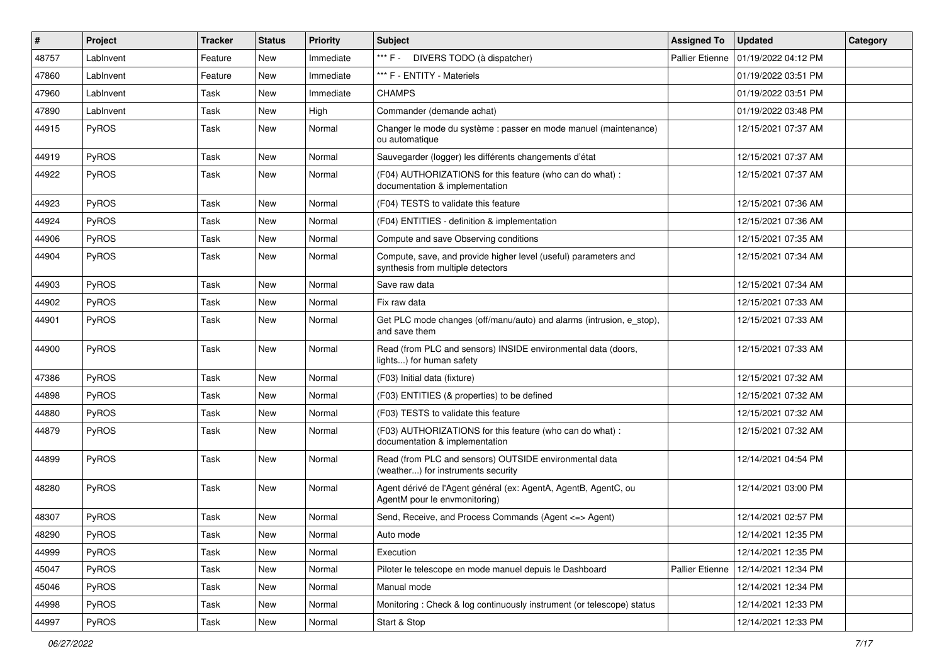| $\vert$ # | Project      | <b>Tracker</b> | <b>Status</b> | <b>Priority</b> | <b>Subject</b>                                                                                       | <b>Assigned To</b>     | <b>Updated</b>      | Category |
|-----------|--------------|----------------|---------------|-----------------|------------------------------------------------------------------------------------------------------|------------------------|---------------------|----------|
| 48757     | LabInvent    | Feature        | New           | Immediate       | *** F - DIVERS TODO (à dispatcher)                                                                   | <b>Pallier Etienne</b> | 01/19/2022 04:12 PM |          |
| 47860     | LabInvent    | Feature        | New           | Immediate       | *** F - ENTITY - Materiels                                                                           |                        | 01/19/2022 03:51 PM |          |
| 47960     | LabInvent    | Task           | New           | Immediate       | <b>CHAMPS</b>                                                                                        |                        | 01/19/2022 03:51 PM |          |
| 47890     | LabInvent    | Task           | New           | High            | Commander (demande achat)                                                                            |                        | 01/19/2022 03:48 PM |          |
| 44915     | <b>PyROS</b> | Task           | New           | Normal          | Changer le mode du système : passer en mode manuel (maintenance)<br>ou automatique                   |                        | 12/15/2021 07:37 AM |          |
| 44919     | PyROS        | Task           | New           | Normal          | Sauvegarder (logger) les différents changements d'état                                               |                        | 12/15/2021 07:37 AM |          |
| 44922     | PyROS        | Task           | New           | Normal          | (F04) AUTHORIZATIONS for this feature (who can do what) :<br>documentation & implementation          |                        | 12/15/2021 07:37 AM |          |
| 44923     | PyROS        | Task           | New           | Normal          | (F04) TESTS to validate this feature                                                                 |                        | 12/15/2021 07:36 AM |          |
| 44924     | <b>PyROS</b> | Task           | New           | Normal          | (F04) ENTITIES - definition & implementation                                                         |                        | 12/15/2021 07:36 AM |          |
| 44906     | PyROS        | Task           | New           | Normal          | Compute and save Observing conditions                                                                |                        | 12/15/2021 07:35 AM |          |
| 44904     | PyROS        | Task           | New           | Normal          | Compute, save, and provide higher level (useful) parameters and<br>synthesis from multiple detectors |                        | 12/15/2021 07:34 AM |          |
| 44903     | <b>PyROS</b> | Task           | New           | Normal          | Save raw data                                                                                        |                        | 12/15/2021 07:34 AM |          |
| 44902     | PyROS        | Task           | New           | Normal          | Fix raw data                                                                                         |                        | 12/15/2021 07:33 AM |          |
| 44901     | PyROS        | Task           | New           | Normal          | Get PLC mode changes (off/manu/auto) and alarms (intrusion, e_stop),<br>and save them                |                        | 12/15/2021 07:33 AM |          |
| 44900     | PyROS        | Task           | New           | Normal          | Read (from PLC and sensors) INSIDE environmental data (doors,<br>lights) for human safety            |                        | 12/15/2021 07:33 AM |          |
| 47386     | PyROS        | Task           | New           | Normal          | (F03) Initial data (fixture)                                                                         |                        | 12/15/2021 07:32 AM |          |
| 44898     | <b>PyROS</b> | Task           | New           | Normal          | (F03) ENTITIES (& properties) to be defined                                                          |                        | 12/15/2021 07:32 AM |          |
| 44880     | PyROS        | Task           | New           | Normal          | (F03) TESTS to validate this feature                                                                 |                        | 12/15/2021 07:32 AM |          |
| 44879     | PyROS        | Task           | New           | Normal          | (F03) AUTHORIZATIONS for this feature (who can do what) :<br>documentation & implementation          |                        | 12/15/2021 07:32 AM |          |
| 44899     | PyROS        | Task           | New           | Normal          | Read (from PLC and sensors) OUTSIDE environmental data<br>(weather) for instruments security         |                        | 12/14/2021 04:54 PM |          |
| 48280     | PyROS        | Task           | New           | Normal          | Agent dérivé de l'Agent général (ex: AgentA, AgentB, AgentC, ou<br>AgentM pour le envmonitoring)     |                        | 12/14/2021 03:00 PM |          |
| 48307     | PyROS        | Task           | New           | Normal          | Send, Receive, and Process Commands (Agent <= > Agent)                                               |                        | 12/14/2021 02:57 PM |          |
| 48290     | PyROS        | Task           | New           | Normal          | Auto mode                                                                                            |                        | 12/14/2021 12:35 PM |          |
| 44999     | <b>PyROS</b> | Task           | New           | Normal          | Execution                                                                                            |                        | 12/14/2021 12:35 PM |          |
| 45047     | PyROS        | Task           | New           | Normal          | Piloter le telescope en mode manuel depuis le Dashboard                                              | <b>Pallier Etienne</b> | 12/14/2021 12:34 PM |          |
| 45046     | PyROS        | Task           | New           | Normal          | Manual mode                                                                                          |                        | 12/14/2021 12:34 PM |          |
| 44998     | PyROS        | Task           | New           | Normal          | Monitoring: Check & log continuously instrument (or telescope) status                                |                        | 12/14/2021 12:33 PM |          |
| 44997     | PyROS        | Task           | New           | Normal          | Start & Stop                                                                                         |                        | 12/14/2021 12:33 PM |          |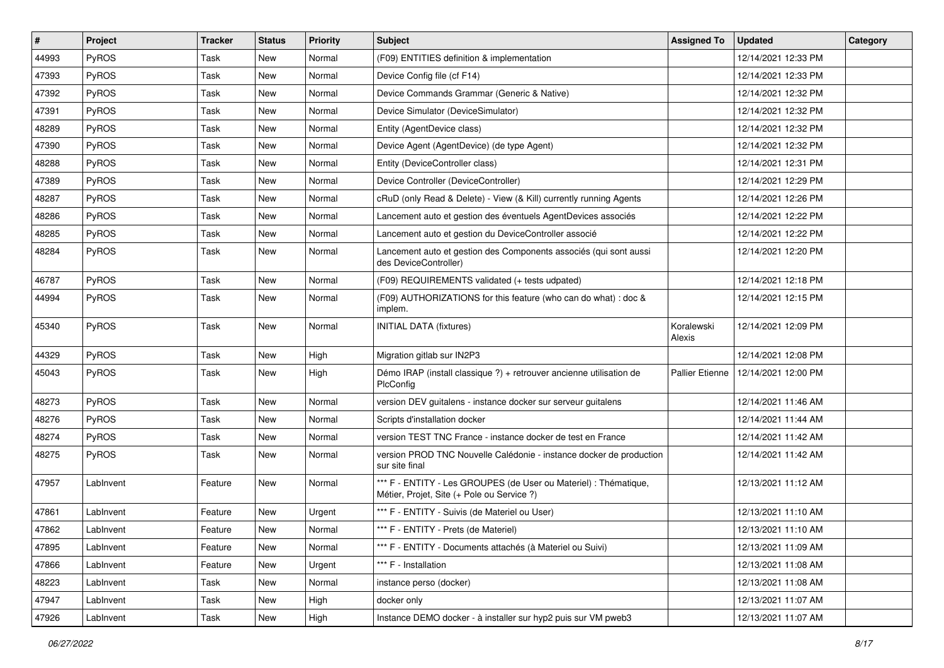| $\vert$ # | Project      | <b>Tracker</b> | <b>Status</b> | <b>Priority</b> | <b>Subject</b>                                                                                                 | <b>Assigned To</b>   | <b>Updated</b>      | Category |
|-----------|--------------|----------------|---------------|-----------------|----------------------------------------------------------------------------------------------------------------|----------------------|---------------------|----------|
| 44993     | <b>PyROS</b> | Task           | New           | Normal          | (F09) ENTITIES definition & implementation                                                                     |                      | 12/14/2021 12:33 PM |          |
| 47393     | PyROS        | Task           | New           | Normal          | Device Config file (cf F14)                                                                                    |                      | 12/14/2021 12:33 PM |          |
| 47392     | PyROS        | Task           | New           | Normal          | Device Commands Grammar (Generic & Native)                                                                     |                      | 12/14/2021 12:32 PM |          |
| 47391     | PyROS        | Task           | New           | Normal          | Device Simulator (DeviceSimulator)                                                                             |                      | 12/14/2021 12:32 PM |          |
| 48289     | PyROS        | Task           | New           | Normal          | Entity (AgentDevice class)                                                                                     |                      | 12/14/2021 12:32 PM |          |
| 47390     | <b>PyROS</b> | Task           | New           | Normal          | Device Agent (AgentDevice) (de type Agent)                                                                     |                      | 12/14/2021 12:32 PM |          |
| 48288     | PyROS        | Task           | <b>New</b>    | Normal          | Entity (DeviceController class)                                                                                |                      | 12/14/2021 12:31 PM |          |
| 47389     | PyROS        | Task           | New           | Normal          | Device Controller (DeviceController)                                                                           |                      | 12/14/2021 12:29 PM |          |
| 48287     | PyROS        | Task           | New           | Normal          | cRuD (only Read & Delete) - View (& Kill) currently running Agents                                             |                      | 12/14/2021 12:26 PM |          |
| 48286     | PyROS        | Task           | New           | Normal          | Lancement auto et gestion des éventuels AgentDevices associés                                                  |                      | 12/14/2021 12:22 PM |          |
| 48285     | PyROS        | Task           | New           | Normal          | Lancement auto et gestion du DeviceController associé                                                          |                      | 12/14/2021 12:22 PM |          |
| 48284     | PyROS        | Task           | New           | Normal          | Lancement auto et gestion des Components associés (qui sont aussi<br>des DeviceController)                     |                      | 12/14/2021 12:20 PM |          |
| 46787     | PyROS        | Task           | New           | Normal          | (F09) REQUIREMENTS validated (+ tests udpated)                                                                 |                      | 12/14/2021 12:18 PM |          |
| 44994     | PyROS        | Task           | New           | Normal          | (F09) AUTHORIZATIONS for this feature (who can do what) : doc &<br>implem.                                     |                      | 12/14/2021 12:15 PM |          |
| 45340     | PyROS        | Task           | New           | Normal          | <b>INITIAL DATA (fixtures)</b>                                                                                 | Koralewski<br>Alexis | 12/14/2021 12:09 PM |          |
| 44329     | PyROS        | Task           | New           | High            | Migration gitlab sur IN2P3                                                                                     |                      | 12/14/2021 12:08 PM |          |
| 45043     | PyROS        | Task           | New           | High            | Démo IRAP (install classique ?) + retrouver ancienne utilisation de<br>PlcConfig                               | Pallier Etienne      | 12/14/2021 12:00 PM |          |
| 48273     | PyROS        | Task           | New           | Normal          | version DEV guitalens - instance docker sur serveur guitalens                                                  |                      | 12/14/2021 11:46 AM |          |
| 48276     | PyROS        | Task           | <b>New</b>    | Normal          | Scripts d'installation docker                                                                                  |                      | 12/14/2021 11:44 AM |          |
| 48274     | PyROS        | Task           | New           | Normal          | version TEST TNC France - instance docker de test en France                                                    |                      | 12/14/2021 11:42 AM |          |
| 48275     | PyROS        | Task           | New           | Normal          | version PROD TNC Nouvelle Calédonie - instance docker de production<br>sur site final                          |                      | 12/14/2021 11:42 AM |          |
| 47957     | LabInvent    | Feature        | New           | Normal          | *** F - ENTITY - Les GROUPES (de User ou Materiel) : Thématique,<br>Métier, Projet, Site (+ Pole ou Service ?) |                      | 12/13/2021 11:12 AM |          |
| 47861     | LabInvent    | Feature        | New           | Urgent          | *** F - ENTITY - Suivis (de Materiel ou User)                                                                  |                      | 12/13/2021 11:10 AM |          |
| 47862     | LabInvent    | Feature        | New           | Normal          | *** F - ENTITY - Prets (de Materiel)                                                                           |                      | 12/13/2021 11:10 AM |          |
| 47895     | LabInvent    | Feature        | New           | Normal          | *** F - ENTITY - Documents attachés (à Materiel ou Suivi)                                                      |                      | 12/13/2021 11:09 AM |          |
| 47866     | LabInvent    | Feature        | New           | Urgent          | *** F - Installation                                                                                           |                      | 12/13/2021 11:08 AM |          |
| 48223     | LabInvent    | Task           | New           | Normal          | instance perso (docker)                                                                                        |                      | 12/13/2021 11:08 AM |          |
| 47947     | LabInvent    | Task           | New           | High            | docker only                                                                                                    |                      | 12/13/2021 11:07 AM |          |
| 47926     | LabInvent    | Task           | New           | High            | Instance DEMO docker - à installer sur hyp2 puis sur VM pweb3                                                  |                      | 12/13/2021 11:07 AM |          |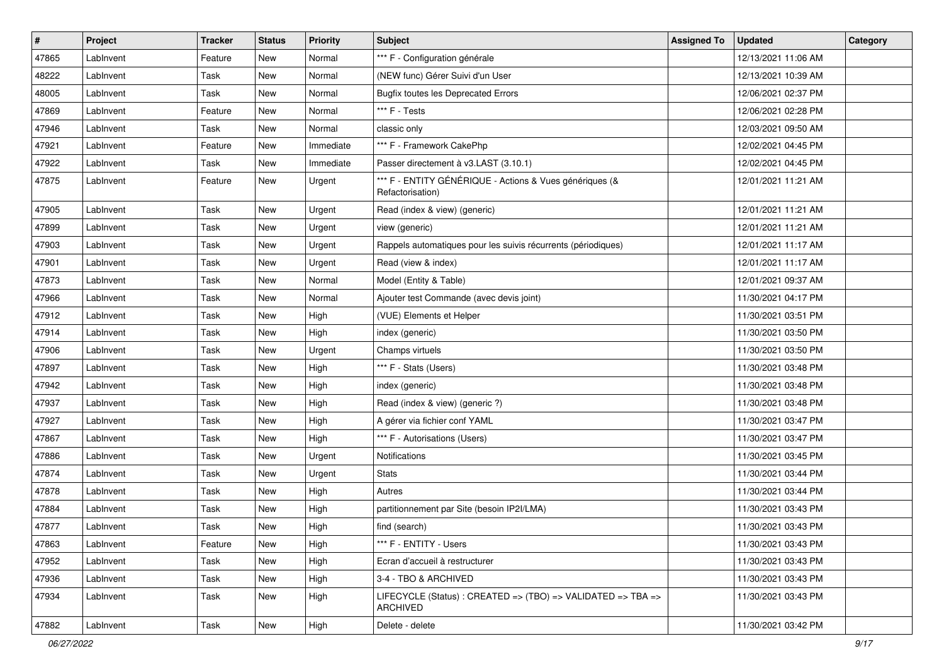| $\sharp$ | Project   | <b>Tracker</b> | <b>Status</b> | <b>Priority</b> | <b>Subject</b>                                                                  | <b>Assigned To</b> | <b>Updated</b>      | Category |
|----------|-----------|----------------|---------------|-----------------|---------------------------------------------------------------------------------|--------------------|---------------------|----------|
| 47865    | LabInvent | Feature        | New           | Normal          | *** F - Configuration générale                                                  |                    | 12/13/2021 11:06 AM |          |
| 48222    | LabInvent | Task           | <b>New</b>    | Normal          | (NEW func) Gérer Suivi d'un User                                                |                    | 12/13/2021 10:39 AM |          |
| 48005    | Lablnvent | Task           | <b>New</b>    | Normal          | <b>Bugfix toutes les Deprecated Errors</b>                                      |                    | 12/06/2021 02:37 PM |          |
| 47869    | LabInvent | Feature        | New           | Normal          | *** F - Tests                                                                   |                    | 12/06/2021 02:28 PM |          |
| 47946    | Lablnvent | Task           | <b>New</b>    | Normal          | classic only                                                                    |                    | 12/03/2021 09:50 AM |          |
| 47921    | LabInvent | Feature        | New           | Immediate       | *** F - Framework CakePhp                                                       |                    | 12/02/2021 04:45 PM |          |
| 47922    | LabInvent | Task           | <b>New</b>    | Immediate       | Passer directement à v3.LAST (3.10.1)                                           |                    | 12/02/2021 04:45 PM |          |
| 47875    | LabInvent | Feature        | New           | Urgent          | *** F - ENTITY GÉNÉRIQUE - Actions & Vues génériques (&<br>Refactorisation)     |                    | 12/01/2021 11:21 AM |          |
| 47905    | Lablnvent | Task           | New           | Urgent          | Read (index & view) (generic)                                                   |                    | 12/01/2021 11:21 AM |          |
| 47899    | LabInvent | Task           | <b>New</b>    | Urgent          | view (generic)                                                                  |                    | 12/01/2021 11:21 AM |          |
| 47903    | Lablnvent | Task           | <b>New</b>    | Urgent          | Rappels automatiques pour les suivis récurrents (périodiques)                   |                    | 12/01/2021 11:17 AM |          |
| 47901    | Lablnvent | Task           | New           | Urgent          | Read (view & index)                                                             |                    | 12/01/2021 11:17 AM |          |
| 47873    | LabInvent | Task           | <b>New</b>    | Normal          | Model (Entity & Table)                                                          |                    | 12/01/2021 09:37 AM |          |
| 47966    | LabInvent | Task           | <b>New</b>    | Normal          | Ajouter test Commande (avec devis joint)                                        |                    | 11/30/2021 04:17 PM |          |
| 47912    | Lablnvent | Task           | <b>New</b>    | High            | (VUE) Elements et Helper                                                        |                    | 11/30/2021 03:51 PM |          |
| 47914    | Lablnvent | Task           | New           | High            | index (generic)                                                                 |                    | 11/30/2021 03:50 PM |          |
| 47906    | Lablnvent | Task           | <b>New</b>    | Urgent          | Champs virtuels                                                                 |                    | 11/30/2021 03:50 PM |          |
| 47897    | LabInvent | Task           | New           | High            | *** F - Stats (Users)                                                           |                    | 11/30/2021 03:48 PM |          |
| 47942    | LabInvent | Task           | <b>New</b>    | High            | index (generic)                                                                 |                    | 11/30/2021 03:48 PM |          |
| 47937    | Lablnvent | Task           | New           | High            | Read (index & view) (generic ?)                                                 |                    | 11/30/2021 03:48 PM |          |
| 47927    | LabInvent | Task           | <b>New</b>    | High            | A gérer via fichier conf YAML                                                   |                    | 11/30/2021 03:47 PM |          |
| 47867    | Lablnvent | Task           | New           | High            | *** F - Autorisations (Users)                                                   |                    | 11/30/2021 03:47 PM |          |
| 47886    | LabInvent | Task           | New           | Urgent          | <b>Notifications</b>                                                            |                    | 11/30/2021 03:45 PM |          |
| 47874    | Lablnvent | Task           | <b>New</b>    | Urgent          | <b>Stats</b>                                                                    |                    | 11/30/2021 03:44 PM |          |
| 47878    | Lablnvent | Task           | New           | High            | Autres                                                                          |                    | 11/30/2021 03:44 PM |          |
| 47884    | LabInvent | Task           | <b>New</b>    | High            | partitionnement par Site (besoin IP2I/LMA)                                      |                    | 11/30/2021 03:43 PM |          |
| 47877    | LabInvent | Task           | <b>New</b>    | High            | find (search)                                                                   |                    | 11/30/2021 03:43 PM |          |
| 47863    | LabInvent | Feature        | New           | High            | *** F - ENTITY - Users                                                          |                    | 11/30/2021 03:43 PM |          |
| 47952    | Lablnvent | Task           | New           | High            | Ecran d'accueil à restructurer                                                  |                    | 11/30/2021 03:43 PM |          |
| 47936    | LabInvent | Task           | New           | High            | 3-4 - TBO & ARCHIVED                                                            |                    | 11/30/2021 03:43 PM |          |
| 47934    | Lablnvent | Task           | New           | High            | LIFECYCLE (Status) : CREATED => (TBO) => VALIDATED => TBA =><br><b>ARCHIVED</b> |                    | 11/30/2021 03:43 PM |          |
| 47882    | LabInvent | Task           | New           | High            | Delete - delete                                                                 |                    | 11/30/2021 03:42 PM |          |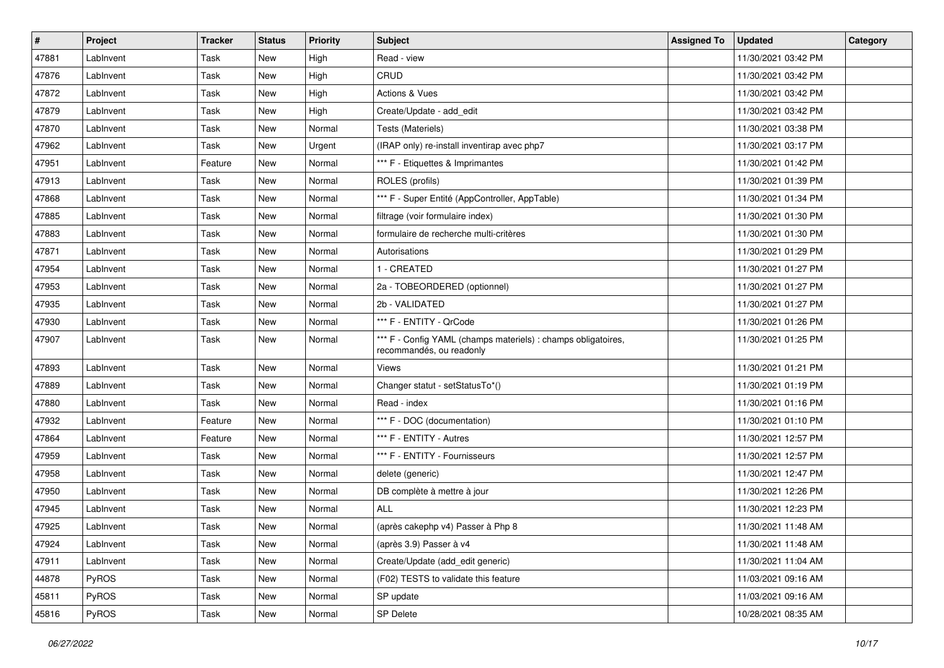| #     | Project   | <b>Tracker</b> | <b>Status</b> | <b>Priority</b> | <b>Subject</b>                                                                            | <b>Assigned To</b> | <b>Updated</b>      | Category |
|-------|-----------|----------------|---------------|-----------------|-------------------------------------------------------------------------------------------|--------------------|---------------------|----------|
| 47881 | LabInvent | Task           | <b>New</b>    | High            | Read - view                                                                               |                    | 11/30/2021 03:42 PM |          |
| 47876 | LabInvent | Task           | <b>New</b>    | High            | CRUD                                                                                      |                    | 11/30/2021 03:42 PM |          |
| 47872 | Lablnvent | Task           | <b>New</b>    | High            | Actions & Vues                                                                            |                    | 11/30/2021 03:42 PM |          |
| 47879 | LabInvent | Task           | <b>New</b>    | High            | Create/Update - add_edit                                                                  |                    | 11/30/2021 03:42 PM |          |
| 47870 | Lablnvent | Task           | New           | Normal          | Tests (Materiels)                                                                         |                    | 11/30/2021 03:38 PM |          |
| 47962 | LabInvent | Task           | New           | Urgent          | (IRAP only) re-install inventirap avec php7                                               |                    | 11/30/2021 03:17 PM |          |
| 47951 | LabInvent | Feature        | <b>New</b>    | Normal          | *** F - Etiquettes & Imprimantes                                                          |                    | 11/30/2021 01:42 PM |          |
| 47913 | Lablnvent | Task           | New           | Normal          | ROLES (profils)                                                                           |                    | 11/30/2021 01:39 PM |          |
| 47868 | Lablnvent | Task           | <b>New</b>    | Normal          | *** F - Super Entité (AppController, AppTable)                                            |                    | 11/30/2021 01:34 PM |          |
| 47885 | Lablnvent | Task           | New           | Normal          | filtrage (voir formulaire index)                                                          |                    | 11/30/2021 01:30 PM |          |
| 47883 | LabInvent | Task           | <b>New</b>    | Normal          | formulaire de recherche multi-critères                                                    |                    | 11/30/2021 01:30 PM |          |
| 47871 | Lablnvent | Task           | New           | Normal          | Autorisations                                                                             |                    | 11/30/2021 01:29 PM |          |
| 47954 | Lablnvent | Task           | New           | Normal          | 1 - CREATED                                                                               |                    | 11/30/2021 01:27 PM |          |
| 47953 | LabInvent | Task           | <b>New</b>    | Normal          | 2a - TOBEORDERED (optionnel)                                                              |                    | 11/30/2021 01:27 PM |          |
| 47935 | LabInvent | Task           | <b>New</b>    | Normal          | 2b - VALIDATED                                                                            |                    | 11/30/2021 01:27 PM |          |
| 47930 | Lablnvent | Task           | New           | Normal          | *** F - ENTITY - QrCode                                                                   |                    | 11/30/2021 01:26 PM |          |
| 47907 | LabInvent | Task           | New           | Normal          | *** F - Config YAML (champs materiels) : champs obligatoires,<br>recommandés, ou readonly |                    | 11/30/2021 01:25 PM |          |
| 47893 | LabInvent | Task           | New           | Normal          | <b>Views</b>                                                                              |                    | 11/30/2021 01:21 PM |          |
| 47889 | Lablnvent | Task           | <b>New</b>    | Normal          | Changer statut - setStatusTo*()                                                           |                    | 11/30/2021 01:19 PM |          |
| 47880 | Lablnvent | Task           | New           | Normal          | Read - index                                                                              |                    | 11/30/2021 01:16 PM |          |
| 47932 | Lablnvent | Feature        | New           | Normal          | *** F - DOC (documentation)                                                               |                    | 11/30/2021 01:10 PM |          |
| 47864 | LabInvent | Feature        | New           | Normal          | *** F - ENTITY - Autres                                                                   |                    | 11/30/2021 12:57 PM |          |
| 47959 | LabInvent | Task           | New           | Normal          | *** F - ENTITY - Fournisseurs                                                             |                    | 11/30/2021 12:57 PM |          |
| 47958 | Lablnvent | Task           | <b>New</b>    | Normal          | delete (generic)                                                                          |                    | 11/30/2021 12:47 PM |          |
| 47950 | Lablnvent | Task           | <b>New</b>    | Normal          | DB complète à mettre à jour                                                               |                    | 11/30/2021 12:26 PM |          |
| 47945 | LabInvent | Task           | <b>New</b>    | Normal          | <b>ALL</b>                                                                                |                    | 11/30/2021 12:23 PM |          |
| 47925 | LabInvent | Task           | <b>New</b>    | Normal          | (après cakephp v4) Passer à Php 8                                                         |                    | 11/30/2021 11:48 AM |          |
| 47924 | LabInvent | Task           | New           | Normal          | (après 3.9) Passer à v4                                                                   |                    | 11/30/2021 11:48 AM |          |
| 47911 | LabInvent | Task           | New           | Normal          | Create/Update (add_edit generic)                                                          |                    | 11/30/2021 11:04 AM |          |
| 44878 | PyROS     | Task           | New           | Normal          | (F02) TESTS to validate this feature                                                      |                    | 11/03/2021 09:16 AM |          |
| 45811 | PyROS     | Task           | New           | Normal          | SP update                                                                                 |                    | 11/03/2021 09:16 AM |          |
| 45816 | PyROS     | Task           | New           | Normal          | SP Delete                                                                                 |                    | 10/28/2021 08:35 AM |          |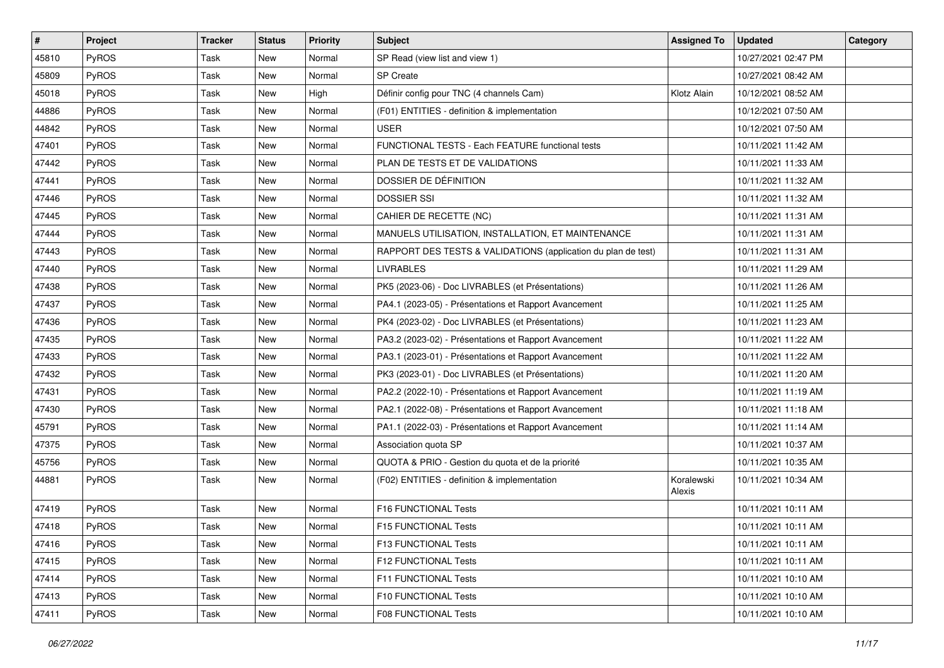| $\sharp$ | Project      | <b>Tracker</b> | <b>Status</b> | <b>Priority</b> | <b>Subject</b>                                                | <b>Assigned To</b>   | <b>Updated</b>      | Category |
|----------|--------------|----------------|---------------|-----------------|---------------------------------------------------------------|----------------------|---------------------|----------|
| 45810    | <b>PyROS</b> | Task           | New           | Normal          | SP Read (view list and view 1)                                |                      | 10/27/2021 02:47 PM |          |
| 45809    | PyROS        | Task           | <b>New</b>    | Normal          | SP Create                                                     |                      | 10/27/2021 08:42 AM |          |
| 45018    | PyROS        | Task           | New           | High            | Définir config pour TNC (4 channels Cam)                      | Klotz Alain          | 10/12/2021 08:52 AM |          |
| 44886    | PyROS        | Task           | <b>New</b>    | Normal          | (F01) ENTITIES - definition & implementation                  |                      | 10/12/2021 07:50 AM |          |
| 44842    | PyROS        | Task           | New           | Normal          | <b>USER</b>                                                   |                      | 10/12/2021 07:50 AM |          |
| 47401    | PyROS        | Task           | New           | Normal          | FUNCTIONAL TESTS - Each FEATURE functional tests              |                      | 10/11/2021 11:42 AM |          |
| 47442    | PyROS        | Task           | <b>New</b>    | Normal          | PLAN DE TESTS ET DE VALIDATIONS                               |                      | 10/11/2021 11:33 AM |          |
| 47441    | PyROS        | Task           | New           | Normal          | DOSSIER DE DÉFINITION                                         |                      | 10/11/2021 11:32 AM |          |
| 47446    | PyROS        | Task           | <b>New</b>    | Normal          | <b>DOSSIER SSI</b>                                            |                      | 10/11/2021 11:32 AM |          |
| 47445    | PyROS        | Task           | New           | Normal          | CAHIER DE RECETTE (NC)                                        |                      | 10/11/2021 11:31 AM |          |
| 47444    | PyROS        | Task           | <b>New</b>    | Normal          | MANUELS UTILISATION, INSTALLATION, ET MAINTENANCE             |                      | 10/11/2021 11:31 AM |          |
| 47443    | PyROS        | Task           | New           | Normal          | RAPPORT DES TESTS & VALIDATIONS (application du plan de test) |                      | 10/11/2021 11:31 AM |          |
| 47440    | PyROS        | Task           | New           | Normal          | <b>LIVRABLES</b>                                              |                      | 10/11/2021 11:29 AM |          |
| 47438    | PyROS        | Task           | <b>New</b>    | Normal          | PK5 (2023-06) - Doc LIVRABLES (et Présentations)              |                      | 10/11/2021 11:26 AM |          |
| 47437    | PyROS        | Task           | <b>New</b>    | Normal          | PA4.1 (2023-05) - Présentations et Rapport Avancement         |                      | 10/11/2021 11:25 AM |          |
| 47436    | PyROS        | Task           | New           | Normal          | PK4 (2023-02) - Doc LIVRABLES (et Présentations)              |                      | 10/11/2021 11:23 AM |          |
| 47435    | PyROS        | Task           | <b>New</b>    | Normal          | PA3.2 (2023-02) - Présentations et Rapport Avancement         |                      | 10/11/2021 11:22 AM |          |
| 47433    | PyROS        | Task           | New           | Normal          | PA3.1 (2023-01) - Présentations et Rapport Avancement         |                      | 10/11/2021 11:22 AM |          |
| 47432    | PyROS        | Task           | <b>New</b>    | Normal          | PK3 (2023-01) - Doc LIVRABLES (et Présentations)              |                      | 10/11/2021 11:20 AM |          |
| 47431    | PyROS        | Task           | <b>New</b>    | Normal          | PA2.2 (2022-10) - Présentations et Rapport Avancement         |                      | 10/11/2021 11:19 AM |          |
| 47430    | PyROS        | Task           | New           | Normal          | PA2.1 (2022-08) - Présentations et Rapport Avancement         |                      | 10/11/2021 11:18 AM |          |
| 45791    | PyROS        | Task           | New           | Normal          | PA1.1 (2022-03) - Présentations et Rapport Avancement         |                      | 10/11/2021 11:14 AM |          |
| 47375    | PyROS        | Task           | New           | Normal          | Association quota SP                                          |                      | 10/11/2021 10:37 AM |          |
| 45756    | PyROS        | Task           | New           | Normal          | QUOTA & PRIO - Gestion du quota et de la priorité             |                      | 10/11/2021 10:35 AM |          |
| 44881    | PyROS        | Task           | New           | Normal          | (F02) ENTITIES - definition & implementation                  | Koralewski<br>Alexis | 10/11/2021 10:34 AM |          |
| 47419    | PyROS        | Task           | New           | Normal          | F16 FUNCTIONAL Tests                                          |                      | 10/11/2021 10:11 AM |          |
| 47418    | PyROS        | Task           | New           | Normal          | F15 FUNCTIONAL Tests                                          |                      | 10/11/2021 10:11 AM |          |
| 47416    | PyROS        | Task           | New           | Normal          | F13 FUNCTIONAL Tests                                          |                      | 10/11/2021 10:11 AM |          |
| 47415    | PyROS        | Task           | New           | Normal          | F12 FUNCTIONAL Tests                                          |                      | 10/11/2021 10:11 AM |          |
| 47414    | PyROS        | Task           | New           | Normal          | F11 FUNCTIONAL Tests                                          |                      | 10/11/2021 10:10 AM |          |
| 47413    | PyROS        | Task           | New           | Normal          | F10 FUNCTIONAL Tests                                          |                      | 10/11/2021 10:10 AM |          |
| 47411    | PyROS        | Task           | New           | Normal          | <b>F08 FUNCTIONAL Tests</b>                                   |                      | 10/11/2021 10:10 AM |          |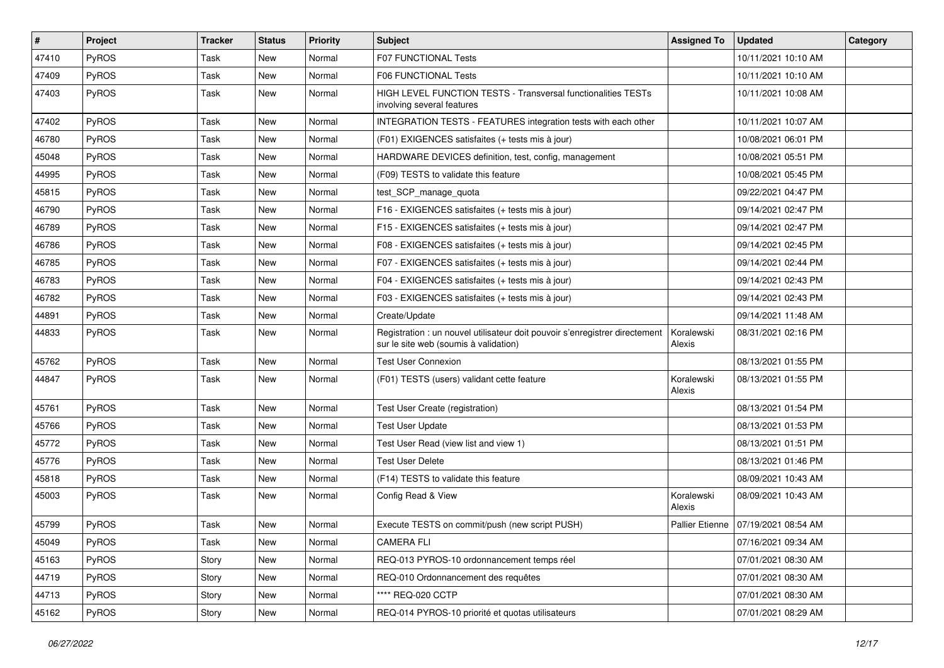| $\vert$ # | Project      | <b>Tracker</b> | <b>Status</b> | <b>Priority</b> | <b>Subject</b>                                                                                                       | <b>Assigned To</b>   | <b>Updated</b>                        | Category |
|-----------|--------------|----------------|---------------|-----------------|----------------------------------------------------------------------------------------------------------------------|----------------------|---------------------------------------|----------|
| 47410     | PyROS        | Task           | New           | Normal          | F07 FUNCTIONAL Tests                                                                                                 |                      | 10/11/2021 10:10 AM                   |          |
| 47409     | PyROS        | Task           | <b>New</b>    | Normal          | F06 FUNCTIONAL Tests                                                                                                 |                      | 10/11/2021 10:10 AM                   |          |
| 47403     | PyROS        | Task           | <b>New</b>    | Normal          | <b>HIGH LEVEL FUNCTION TESTS - Transversal functionalities TESTs</b><br>involving several features                   |                      | 10/11/2021 10:08 AM                   |          |
| 47402     | PyROS        | Task           | <b>New</b>    | Normal          | INTEGRATION TESTS - FEATURES integration tests with each other                                                       |                      | 10/11/2021 10:07 AM                   |          |
| 46780     | <b>PyROS</b> | Task           | New           | Normal          | (F01) EXIGENCES satisfaites (+ tests mis à jour)                                                                     |                      | 10/08/2021 06:01 PM                   |          |
| 45048     | <b>PyROS</b> | Task           | New           | Normal          | HARDWARE DEVICES definition, test, config, management                                                                |                      | 10/08/2021 05:51 PM                   |          |
| 44995     | PyROS        | Task           | New           | Normal          | (F09) TESTS to validate this feature                                                                                 |                      | 10/08/2021 05:45 PM                   |          |
| 45815     | PyROS        | Task           | <b>New</b>    | Normal          | test_SCP_manage_quota                                                                                                |                      | 09/22/2021 04:47 PM                   |          |
| 46790     | PyROS        | Task           | <b>New</b>    | Normal          | F16 - EXIGENCES satisfaites (+ tests mis à jour)                                                                     |                      | 09/14/2021 02:47 PM                   |          |
| 46789     | <b>PyROS</b> | Task           | New           | Normal          | F15 - EXIGENCES satisfaites (+ tests mis à jour)                                                                     |                      | 09/14/2021 02:47 PM                   |          |
| 46786     | PyROS        | Task           | New           | Normal          | F08 - EXIGENCES satisfaites (+ tests mis à jour)                                                                     |                      | 09/14/2021 02:45 PM                   |          |
| 46785     | PyROS        | Task           | <b>New</b>    | Normal          | F07 - EXIGENCES satisfaites (+ tests mis à jour)                                                                     |                      | 09/14/2021 02:44 PM                   |          |
| 46783     | PyROS        | Task           | New           | Normal          | F04 - EXIGENCES satisfaites (+ tests mis à jour)                                                                     |                      | 09/14/2021 02:43 PM                   |          |
| 46782     | PyROS        | Task           | <b>New</b>    | Normal          | F03 - EXIGENCES satisfaites (+ tests mis à jour)                                                                     |                      | 09/14/2021 02:43 PM                   |          |
| 44891     | PyROS        | Task           | <b>New</b>    | Normal          | Create/Update                                                                                                        |                      | 09/14/2021 11:48 AM                   |          |
| 44833     | PyROS        | Task           | New           | Normal          | Registration : un nouvel utilisateur doit pouvoir s'enregistrer directement<br>sur le site web (soumis à validation) | Koralewski<br>Alexis | 08/31/2021 02:16 PM                   |          |
| 45762     | PyROS        | Task           | <b>New</b>    | Normal          | <b>Test User Connexion</b>                                                                                           |                      | 08/13/2021 01:55 PM                   |          |
| 44847     | PyROS        | Task           | New           | Normal          | (F01) TESTS (users) validant cette feature                                                                           | Koralewski<br>Alexis | 08/13/2021 01:55 PM                   |          |
| 45761     | PyROS        | Task           | New           | Normal          | Test User Create (registration)                                                                                      |                      | 08/13/2021 01:54 PM                   |          |
| 45766     | PyROS        | Task           | New           | Normal          | <b>Test User Update</b>                                                                                              |                      | 08/13/2021 01:53 PM                   |          |
| 45772     | PyROS        | Task           | New           | Normal          | Test User Read (view list and view 1)                                                                                |                      | 08/13/2021 01:51 PM                   |          |
| 45776     | PyROS        | Task           | New           | Normal          | <b>Test User Delete</b>                                                                                              |                      | 08/13/2021 01:46 PM                   |          |
| 45818     | PyROS        | Task           | New           | Normal          | (F14) TESTS to validate this feature                                                                                 |                      | 08/09/2021 10:43 AM                   |          |
| 45003     | PyROS        | Task           | New           | Normal          | Config Read & View                                                                                                   | Koralewski<br>Alexis | 08/09/2021 10:43 AM                   |          |
| 45799     | PyROS        | Task           | New           | Normal          | Execute TESTS on commit/push (new script PUSH)                                                                       |                      | Pallier Etienne   07/19/2021 08:54 AM |          |
| 45049     | PyROS        | Task           | New           | Normal          | <b>CAMERA FLI</b>                                                                                                    |                      | 07/16/2021 09:34 AM                   |          |
| 45163     | PyROS        | Story          | New           | Normal          | REQ-013 PYROS-10 ordonnancement temps réel                                                                           |                      | 07/01/2021 08:30 AM                   |          |
| 44719     | PyROS        | Story          | New           | Normal          | REQ-010 Ordonnancement des requêtes                                                                                  |                      | 07/01/2021 08:30 AM                   |          |
| 44713     | PyROS        | Story          | New           | Normal          | **** REQ-020 CCTP                                                                                                    |                      | 07/01/2021 08:30 AM                   |          |
| 45162     | PyROS        | Story          | New           | Normal          | REQ-014 PYROS-10 priorité et quotas utilisateurs                                                                     |                      | 07/01/2021 08:29 AM                   |          |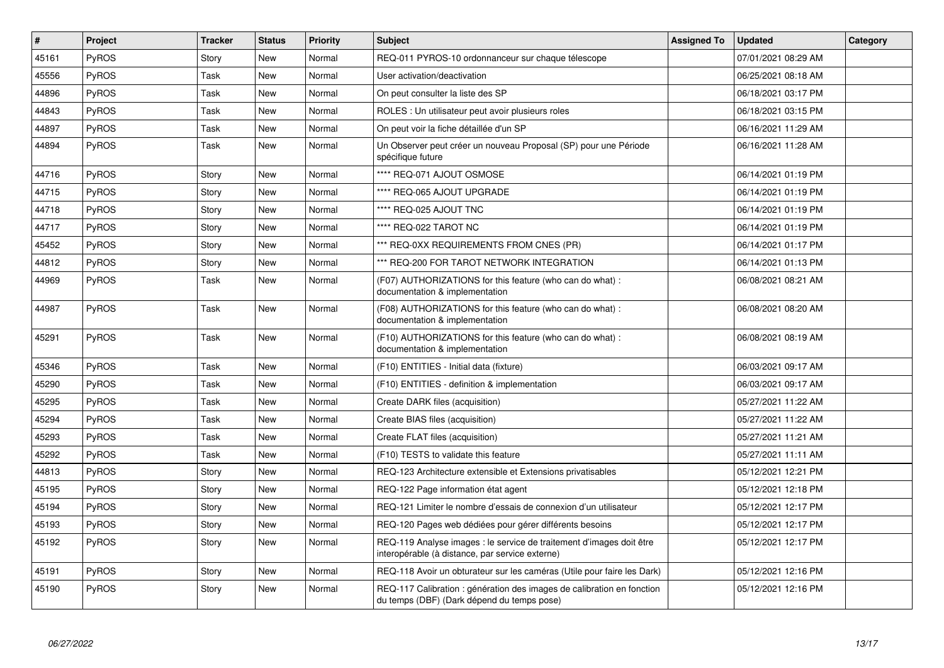| $\vert$ # | Project      | <b>Tracker</b> | <b>Status</b> | <b>Priority</b> | <b>Subject</b>                                                                                                          | <b>Assigned To</b> | <b>Updated</b>      | Category |
|-----------|--------------|----------------|---------------|-----------------|-------------------------------------------------------------------------------------------------------------------------|--------------------|---------------------|----------|
| 45161     | <b>PyROS</b> | Story          | <b>New</b>    | Normal          | REQ-011 PYROS-10 ordonnanceur sur chaque télescope                                                                      |                    | 07/01/2021 08:29 AM |          |
| 45556     | PyROS        | Task           | <b>New</b>    | Normal          | User activation/deactivation                                                                                            |                    | 06/25/2021 08:18 AM |          |
| 44896     | <b>PyROS</b> | Task           | <b>New</b>    | Normal          | On peut consulter la liste des SP                                                                                       |                    | 06/18/2021 03:17 PM |          |
| 44843     | PyROS        | Task           | New           | Normal          | ROLES : Un utilisateur peut avoir plusieurs roles                                                                       |                    | 06/18/2021 03:15 PM |          |
| 44897     | <b>PyROS</b> | Task           | <b>New</b>    | Normal          | On peut voir la fiche détaillée d'un SP                                                                                 |                    | 06/16/2021 11:29 AM |          |
| 44894     | <b>PyROS</b> | Task           | <b>New</b>    | Normal          | Un Observer peut créer un nouveau Proposal (SP) pour une Période<br>spécifique future                                   |                    | 06/16/2021 11:28 AM |          |
| 44716     | <b>PyROS</b> | Story          | <b>New</b>    | Normal          | **** REQ-071 AJOUT OSMOSE                                                                                               |                    | 06/14/2021 01:19 PM |          |
| 44715     | PyROS        | Story          | New           | Normal          | **** REQ-065 AJOUT UPGRADE                                                                                              |                    | 06/14/2021 01:19 PM |          |
| 44718     | <b>PyROS</b> | Story          | <b>New</b>    | Normal          | **** REQ-025 AJOUT TNC                                                                                                  |                    | 06/14/2021 01:19 PM |          |
| 44717     | PyROS        | Story          | New           | Normal          | **** REQ-022 TAROT NC                                                                                                   |                    | 06/14/2021 01:19 PM |          |
| 45452     | <b>PyROS</b> | Story          | New           | Normal          | *** REQ-0XX REQUIREMENTS FROM CNES (PR)                                                                                 |                    | 06/14/2021 01:17 PM |          |
| 44812     | <b>PyROS</b> | Story          | <b>New</b>    | Normal          | *** REQ-200 FOR TAROT NETWORK INTEGRATION                                                                               |                    | 06/14/2021 01:13 PM |          |
| 44969     | <b>PyROS</b> | Task           | New           | Normal          | (F07) AUTHORIZATIONS for this feature (who can do what):<br>documentation & implementation                              |                    | 06/08/2021 08:21 AM |          |
| 44987     | <b>PyROS</b> | Task           | New           | Normal          | (F08) AUTHORIZATIONS for this feature (who can do what) :<br>documentation & implementation                             |                    | 06/08/2021 08:20 AM |          |
| 45291     | <b>PyROS</b> | Task           | New           | Normal          | (F10) AUTHORIZATIONS for this feature (who can do what) :<br>documentation & implementation                             |                    | 06/08/2021 08:19 AM |          |
| 45346     | PyROS        | Task           | New           | Normal          | (F10) ENTITIES - Initial data (fixture)                                                                                 |                    | 06/03/2021 09:17 AM |          |
| 45290     | <b>PyROS</b> | Task           | New           | Normal          | (F10) ENTITIES - definition & implementation                                                                            |                    | 06/03/2021 09:17 AM |          |
| 45295     | <b>PyROS</b> | Task           | <b>New</b>    | Normal          | Create DARK files (acquisition)                                                                                         |                    | 05/27/2021 11:22 AM |          |
| 45294     | <b>PyROS</b> | Task           | New           | Normal          | Create BIAS files (acquisition)                                                                                         |                    | 05/27/2021 11:22 AM |          |
| 45293     | <b>PyROS</b> | Task           | <b>New</b>    | Normal          | Create FLAT files (acquisition)                                                                                         |                    | 05/27/2021 11:21 AM |          |
| 45292     | <b>PyROS</b> | Task           | <b>New</b>    | Normal          | (F10) TESTS to validate this feature                                                                                    |                    | 05/27/2021 11:11 AM |          |
| 44813     | <b>PyROS</b> | Story          | <b>New</b>    | Normal          | REQ-123 Architecture extensible et Extensions privatisables                                                             |                    | 05/12/2021 12:21 PM |          |
| 45195     | <b>PyROS</b> | Story          | New           | Normal          | REQ-122 Page information état agent                                                                                     |                    | 05/12/2021 12:18 PM |          |
| 45194     | PyROS        | Story          | <b>New</b>    | Normal          | REQ-121 Limiter le nombre d'essais de connexion d'un utilisateur                                                        |                    | 05/12/2021 12:17 PM |          |
| 45193     | PyROS        | Story          | <b>New</b>    | Normal          | REQ-120 Pages web dédiées pour gérer différents besoins                                                                 |                    | 05/12/2021 12:17 PM |          |
| 45192     | <b>PyROS</b> | Story          | New           | Normal          | REQ-119 Analyse images : le service de traitement d'images doit être<br>interopérable (à distance, par service externe) |                    | 05/12/2021 12:17 PM |          |
| 45191     | PyROS        | Story          | New           | Normal          | REQ-118 Avoir un obturateur sur les caméras (Utile pour faire les Dark)                                                 |                    | 05/12/2021 12:16 PM |          |
| 45190     | <b>PyROS</b> | Story          | <b>New</b>    | Normal          | REQ-117 Calibration : génération des images de calibration en fonction<br>du temps (DBF) (Dark dépend du temps pose)    |                    | 05/12/2021 12:16 PM |          |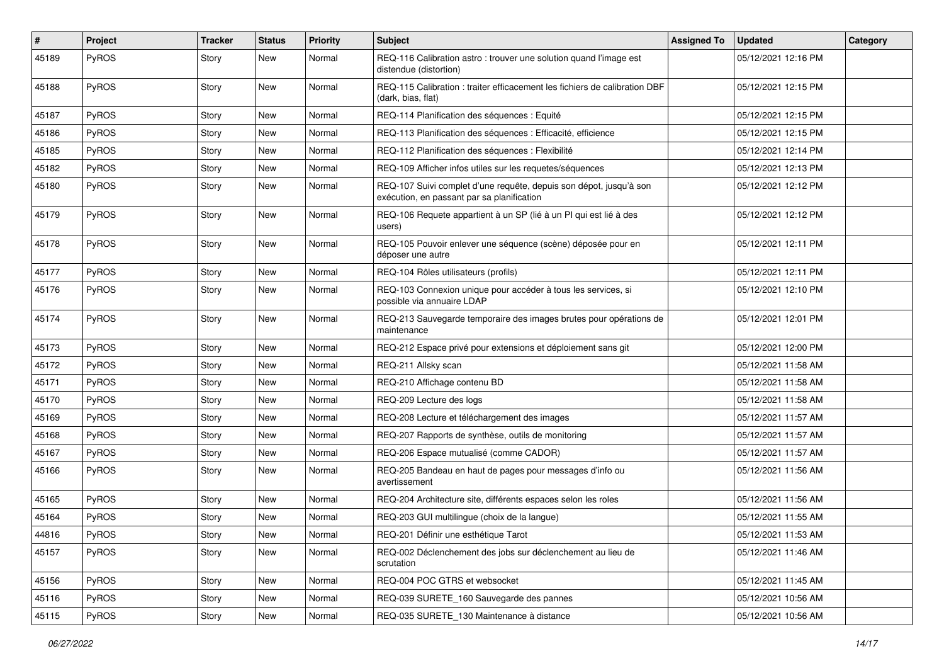| #     | Project      | <b>Tracker</b> | <b>Status</b> | <b>Priority</b> | <b>Subject</b>                                                                                                   | <b>Assigned To</b> | <b>Updated</b>      | Category |
|-------|--------------|----------------|---------------|-----------------|------------------------------------------------------------------------------------------------------------------|--------------------|---------------------|----------|
| 45189 | PyROS        | Story          | New           | Normal          | REQ-116 Calibration astro : trouver une solution quand l'image est<br>distendue (distortion)                     |                    | 05/12/2021 12:16 PM |          |
| 45188 | PyROS        | Story          | New           | Normal          | REQ-115 Calibration : traiter efficacement les fichiers de calibration DBF<br>(dark, bias, flat)                 |                    | 05/12/2021 12:15 PM |          |
| 45187 | PyROS        | Story          | New           | Normal          | REQ-114 Planification des séquences : Equité                                                                     |                    | 05/12/2021 12:15 PM |          |
| 45186 | <b>PyROS</b> | Story          | New           | Normal          | REQ-113 Planification des séquences : Efficacité, efficience                                                     |                    | 05/12/2021 12:15 PM |          |
| 45185 | PyROS        | Story          | New           | Normal          | REQ-112 Planification des séquences : Flexibilité                                                                |                    | 05/12/2021 12:14 PM |          |
| 45182 | PyROS        | Story          | New           | Normal          | REQ-109 Afficher infos utiles sur les requetes/séquences                                                         |                    | 05/12/2021 12:13 PM |          |
| 45180 | PyROS        | Story          | New           | Normal          | REQ-107 Suivi complet d'une requête, depuis son dépot, jusqu'à son<br>exécution, en passant par sa planification |                    | 05/12/2021 12:12 PM |          |
| 45179 | PyROS        | Story          | New           | Normal          | REQ-106 Requete appartient à un SP (lié à un PI qui est lié à des<br>users)                                      |                    | 05/12/2021 12:12 PM |          |
| 45178 | PyROS        | Story          | New           | Normal          | REQ-105 Pouvoir enlever une séquence (scène) déposée pour en<br>déposer une autre                                |                    | 05/12/2021 12:11 PM |          |
| 45177 | PyROS        | Story          | New           | Normal          | REQ-104 Rôles utilisateurs (profils)                                                                             |                    | 05/12/2021 12:11 PM |          |
| 45176 | PyROS        | Story          | New           | Normal          | REQ-103 Connexion unique pour accéder à tous les services, si<br>possible via annuaire LDAP                      |                    | 05/12/2021 12:10 PM |          |
| 45174 | PyROS        | Story          | New           | Normal          | REQ-213 Sauvegarde temporaire des images brutes pour opérations de<br>maintenance                                |                    | 05/12/2021 12:01 PM |          |
| 45173 | PyROS        | Story          | New           | Normal          | REQ-212 Espace privé pour extensions et déploiement sans git                                                     |                    | 05/12/2021 12:00 PM |          |
| 45172 | <b>PyROS</b> | Story          | New           | Normal          | REQ-211 Allsky scan                                                                                              |                    | 05/12/2021 11:58 AM |          |
| 45171 | <b>PyROS</b> | Story          | New           | Normal          | REQ-210 Affichage contenu BD                                                                                     |                    | 05/12/2021 11:58 AM |          |
| 45170 | PyROS        | Story          | New           | Normal          | REQ-209 Lecture des logs                                                                                         |                    | 05/12/2021 11:58 AM |          |
| 45169 | PyROS        | Story          | New           | Normal          | REQ-208 Lecture et téléchargement des images                                                                     |                    | 05/12/2021 11:57 AM |          |
| 45168 | PyROS        | Story          | New           | Normal          | REQ-207 Rapports de synthèse, outils de monitoring                                                               |                    | 05/12/2021 11:57 AM |          |
| 45167 | PyROS        | Story          | New           | Normal          | REQ-206 Espace mutualisé (comme CADOR)                                                                           |                    | 05/12/2021 11:57 AM |          |
| 45166 | PyROS        | Story          | New           | Normal          | REQ-205 Bandeau en haut de pages pour messages d'info ou<br>avertissement                                        |                    | 05/12/2021 11:56 AM |          |
| 45165 | PyROS        | Story          | New           | Normal          | REQ-204 Architecture site, différents espaces selon les roles                                                    |                    | 05/12/2021 11:56 AM |          |
| 45164 | PyROS        | Story          | New           | Normal          | REQ-203 GUI multilingue (choix de la langue)                                                                     |                    | 05/12/2021 11:55 AM |          |
| 44816 | PyROS        | Story          | New           | Normal          | REQ-201 Définir une esthétique Tarot                                                                             |                    | 05/12/2021 11:53 AM |          |
| 45157 | <b>PyROS</b> | Story          | New           | Normal          | REQ-002 Déclenchement des jobs sur déclenchement au lieu de<br>scrutation                                        |                    | 05/12/2021 11:46 AM |          |
| 45156 | PyROS        | Story          | New           | Normal          | REQ-004 POC GTRS et websocket                                                                                    |                    | 05/12/2021 11:45 AM |          |
| 45116 | <b>PyROS</b> | Story          | New           | Normal          | REQ-039 SURETE_160 Sauvegarde des pannes                                                                         |                    | 05/12/2021 10:56 AM |          |
| 45115 | PyROS        | Story          | New           | Normal          | REQ-035 SURETE_130 Maintenance à distance                                                                        |                    | 05/12/2021 10:56 AM |          |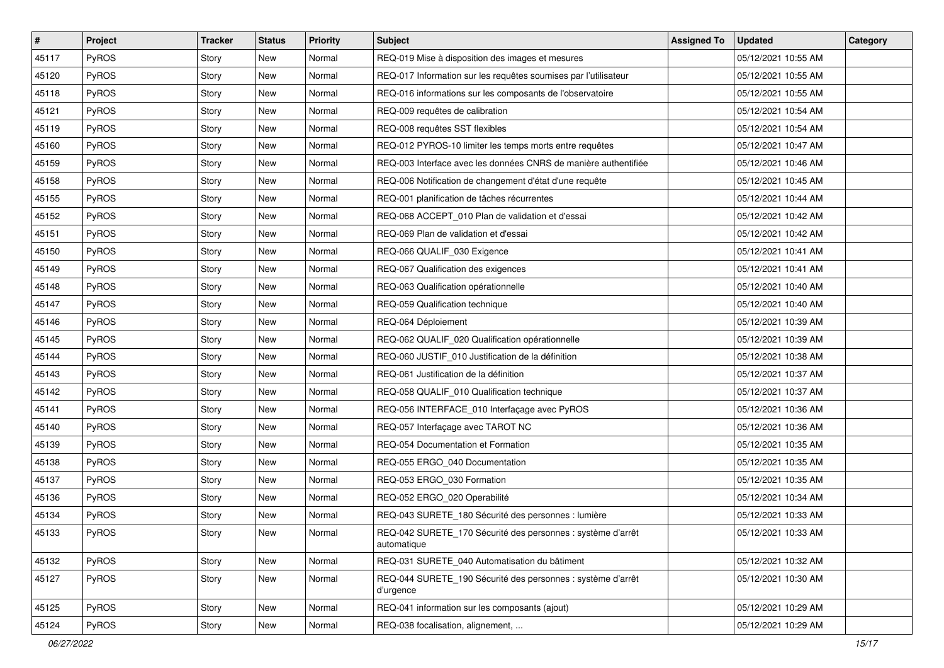| #     | Project      | <b>Tracker</b> | <b>Status</b> | <b>Priority</b> | <b>Subject</b>                                                             | <b>Assigned To</b> | <b>Updated</b>      | Category |
|-------|--------------|----------------|---------------|-----------------|----------------------------------------------------------------------------|--------------------|---------------------|----------|
| 45117 | <b>PyROS</b> | Story          | New           | Normal          | REQ-019 Mise à disposition des images et mesures                           |                    | 05/12/2021 10:55 AM |          |
| 45120 | PyROS        | Story          | <b>New</b>    | Normal          | REQ-017 Information sur les requêtes soumises par l'utilisateur            |                    | 05/12/2021 10:55 AM |          |
| 45118 | PyROS        | Story          | New           | Normal          | REQ-016 informations sur les composants de l'observatoire                  |                    | 05/12/2021 10:55 AM |          |
| 45121 | PyROS        | Story          | New           | Normal          | REQ-009 requêtes de calibration                                            |                    | 05/12/2021 10:54 AM |          |
| 45119 | PyROS        | Story          | New           | Normal          | REQ-008 requêtes SST flexibles                                             |                    | 05/12/2021 10:54 AM |          |
| 45160 | PyROS        | Story          | New           | Normal          | REQ-012 PYROS-10 limiter les temps morts entre requêtes                    |                    | 05/12/2021 10:47 AM |          |
| 45159 | PyROS        | Story          | New           | Normal          | REQ-003 Interface avec les données CNRS de manière authentifiée            |                    | 05/12/2021 10:46 AM |          |
| 45158 | PyROS        | Story          | New           | Normal          | REQ-006 Notification de changement d'état d'une requête                    |                    | 05/12/2021 10:45 AM |          |
| 45155 | PyROS        | Story          | New           | Normal          | REQ-001 planification de tâches récurrentes                                |                    | 05/12/2021 10:44 AM |          |
| 45152 | PyROS        | Story          | New           | Normal          | REQ-068 ACCEPT_010 Plan de validation et d'essai                           |                    | 05/12/2021 10:42 AM |          |
| 45151 | PyROS        | Story          | <b>New</b>    | Normal          | REQ-069 Plan de validation et d'essai                                      |                    | 05/12/2021 10:42 AM |          |
| 45150 | PyROS        | Story          | New           | Normal          | REQ-066 QUALIF_030 Exigence                                                |                    | 05/12/2021 10:41 AM |          |
| 45149 | PyROS        | Story          | New           | Normal          | REQ-067 Qualification des exigences                                        |                    | 05/12/2021 10:41 AM |          |
| 45148 | PyROS        | Story          | <b>New</b>    | Normal          | REQ-063 Qualification opérationnelle                                       |                    | 05/12/2021 10:40 AM |          |
| 45147 | PyROS        | Story          | <b>New</b>    | Normal          | REQ-059 Qualification technique                                            |                    | 05/12/2021 10:40 AM |          |
| 45146 | PyROS        | Story          | New           | Normal          | REQ-064 Déploiement                                                        |                    | 05/12/2021 10:39 AM |          |
| 45145 | PyROS        | Story          | New           | Normal          | REQ-062 QUALIF_020 Qualification opérationnelle                            |                    | 05/12/2021 10:39 AM |          |
| 45144 | PyROS        | Story          | New           | Normal          | REQ-060 JUSTIF_010 Justification de la définition                          |                    | 05/12/2021 10:38 AM |          |
| 45143 | PyROS        | Story          | New           | Normal          | REQ-061 Justification de la définition                                     |                    | 05/12/2021 10:37 AM |          |
| 45142 | PyROS        | Story          | <b>New</b>    | Normal          | REQ-058 QUALIF_010 Qualification technique                                 |                    | 05/12/2021 10:37 AM |          |
| 45141 | PyROS        | Story          | New           | Normal          | REQ-056 INTERFACE_010 Interfaçage avec PyROS                               |                    | 05/12/2021 10:36 AM |          |
| 45140 | PyROS        | Story          | New           | Normal          | REQ-057 Interfaçage avec TAROT NC                                          |                    | 05/12/2021 10:36 AM |          |
| 45139 | PyROS        | Story          | New           | Normal          | REQ-054 Documentation et Formation                                         |                    | 05/12/2021 10:35 AM |          |
| 45138 | PyROS        | Story          | New           | Normal          | REQ-055 ERGO 040 Documentation                                             |                    | 05/12/2021 10:35 AM |          |
| 45137 | PyROS        | Story          | New           | Normal          | REQ-053 ERGO_030 Formation                                                 |                    | 05/12/2021 10:35 AM |          |
| 45136 | PyROS        | Story          | New           | Normal          | REQ-052 ERGO_020 Operabilité                                               |                    | 05/12/2021 10:34 AM |          |
| 45134 | PyROS        | Story          | <b>New</b>    | Normal          | REQ-043 SURETE_180 Sécurité des personnes : lumière                        |                    | 05/12/2021 10:33 AM |          |
| 45133 | PyROS        | Story          | New           | Normal          | REQ-042 SURETE_170 Sécurité des personnes : système d'arrêt<br>automatique |                    | 05/12/2021 10:33 AM |          |
| 45132 | PyROS        | Story          | New           | Normal          | REQ-031 SURETE 040 Automatisation du bâtiment                              |                    | 05/12/2021 10:32 AM |          |
| 45127 | PyROS        | Story          | New           | Normal          | REQ-044 SURETE_190 Sécurité des personnes : système d'arrêt<br>d'urgence   |                    | 05/12/2021 10:30 AM |          |
| 45125 | PyROS        | Story          | New           | Normal          | REQ-041 information sur les composants (ajout)                             |                    | 05/12/2021 10:29 AM |          |
| 45124 | PyROS        | Story          | New           | Normal          | REQ-038 focalisation, alignement,                                          |                    | 05/12/2021 10:29 AM |          |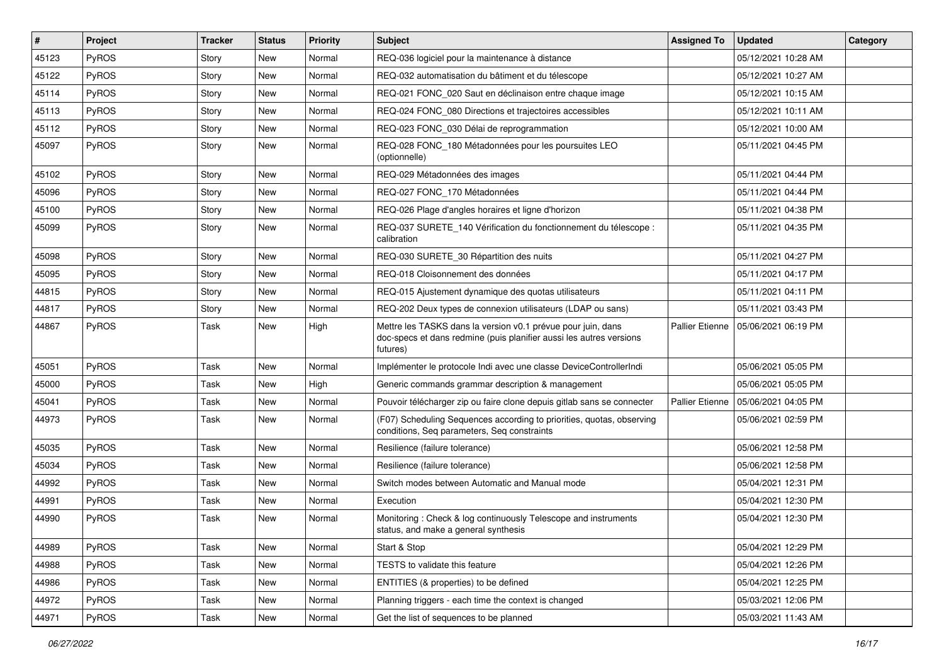| $\vert$ # | Project      | <b>Tracker</b> | <b>Status</b> | <b>Priority</b> | <b>Subject</b>                                                                                                                                  | <b>Assigned To</b>     | <b>Updated</b>      | Category |
|-----------|--------------|----------------|---------------|-----------------|-------------------------------------------------------------------------------------------------------------------------------------------------|------------------------|---------------------|----------|
| 45123     | <b>PyROS</b> | Story          | New           | Normal          | REQ-036 logiciel pour la maintenance à distance                                                                                                 |                        | 05/12/2021 10:28 AM |          |
| 45122     | PyROS        | Story          | New           | Normal          | REQ-032 automatisation du bâtiment et du télescope                                                                                              |                        | 05/12/2021 10:27 AM |          |
| 45114     | PyROS        | Story          | New           | Normal          | REQ-021 FONC_020 Saut en déclinaison entre chaque image                                                                                         |                        | 05/12/2021 10:15 AM |          |
| 45113     | PyROS        | Story          | New           | Normal          | REQ-024 FONC_080 Directions et trajectoires accessibles                                                                                         |                        | 05/12/2021 10:11 AM |          |
| 45112     | PyROS        | Story          | <b>New</b>    | Normal          | REQ-023 FONC_030 Délai de reprogrammation                                                                                                       |                        | 05/12/2021 10:00 AM |          |
| 45097     | <b>PyROS</b> | Story          | New           | Normal          | REQ-028 FONC_180 Métadonnées pour les poursuites LEO<br>(optionnelle)                                                                           |                        | 05/11/2021 04:45 PM |          |
| 45102     | PyROS        | Story          | New           | Normal          | REQ-029 Métadonnées des images                                                                                                                  |                        | 05/11/2021 04:44 PM |          |
| 45096     | <b>PyROS</b> | Story          | New           | Normal          | REQ-027 FONC_170 Métadonnées                                                                                                                    |                        | 05/11/2021 04:44 PM |          |
| 45100     | PyROS        | Story          | <b>New</b>    | Normal          | REQ-026 Plage d'angles horaires et ligne d'horizon                                                                                              |                        | 05/11/2021 04:38 PM |          |
| 45099     | PyROS        | Story          | New           | Normal          | REQ-037 SURETE_140 Vérification du fonctionnement du télescope :<br>calibration                                                                 |                        | 05/11/2021 04:35 PM |          |
| 45098     | PyROS        | Story          | New           | Normal          | REQ-030 SURETE_30 Répartition des nuits                                                                                                         |                        | 05/11/2021 04:27 PM |          |
| 45095     | <b>PyROS</b> | Story          | New           | Normal          | REQ-018 Cloisonnement des données                                                                                                               |                        | 05/11/2021 04:17 PM |          |
| 44815     | <b>PyROS</b> | Story          | New           | Normal          | REQ-015 Ajustement dynamique des quotas utilisateurs                                                                                            |                        | 05/11/2021 04:11 PM |          |
| 44817     | PyROS        | Story          | New           | Normal          | REQ-202 Deux types de connexion utilisateurs (LDAP ou sans)                                                                                     |                        | 05/11/2021 03:43 PM |          |
| 44867     | PyROS        | Task           | New           | High            | Mettre les TASKS dans la version v0.1 prévue pour juin, dans<br>doc-specs et dans redmine (puis planifier aussi les autres versions<br>futures) | <b>Pallier Etienne</b> | 05/06/2021 06:19 PM |          |
| 45051     | PyROS        | Task           | <b>New</b>    | Normal          | Implémenter le protocole Indi avec une classe DeviceControllerIndi                                                                              |                        | 05/06/2021 05:05 PM |          |
| 45000     | PyROS        | Task           | <b>New</b>    | High            | Generic commands grammar description & management                                                                                               |                        | 05/06/2021 05:05 PM |          |
| 45041     | PyROS        | Task           | New           | Normal          | Pouvoir télécharger zip ou faire clone depuis gitlab sans se connecter                                                                          | Pallier Etienne        | 05/06/2021 04:05 PM |          |
| 44973     | PyROS        | Task           | New           | Normal          | (F07) Scheduling Sequences according to priorities, quotas, observing<br>conditions, Seq parameters, Seq constraints                            |                        | 05/06/2021 02:59 PM |          |
| 45035     | PyROS        | Task           | New           | Normal          | Resilience (failure tolerance)                                                                                                                  |                        | 05/06/2021 12:58 PM |          |
| 45034     | PyROS        | Task           | New           | Normal          | Resilience (failure tolerance)                                                                                                                  |                        | 05/06/2021 12:58 PM |          |
| 44992     | PyROS        | Task           | New           | Normal          | Switch modes between Automatic and Manual mode                                                                                                  |                        | 05/04/2021 12:31 PM |          |
| 44991     | PyROS        | Task           | New           | Normal          | Execution                                                                                                                                       |                        | 05/04/2021 12:30 PM |          |
| 44990     | PyROS        | Task           | <b>New</b>    | Normal          | Monitoring: Check & log continuously Telescope and instruments<br>status, and make a general synthesis                                          |                        | 05/04/2021 12:30 PM |          |
| 44989     | PyROS        | Task           | New           | Normal          | Start & Stop                                                                                                                                    |                        | 05/04/2021 12:29 PM |          |
| 44988     | PyROS        | Task           | New           | Normal          | TESTS to validate this feature                                                                                                                  |                        | 05/04/2021 12:26 PM |          |
| 44986     | PyROS        | Task           | New           | Normal          | ENTITIES (& properties) to be defined                                                                                                           |                        | 05/04/2021 12:25 PM |          |
| 44972     | PyROS        | Task           | New           | Normal          | Planning triggers - each time the context is changed                                                                                            |                        | 05/03/2021 12:06 PM |          |
| 44971     | PyROS        | Task           | New           | Normal          | Get the list of sequences to be planned                                                                                                         |                        | 05/03/2021 11:43 AM |          |